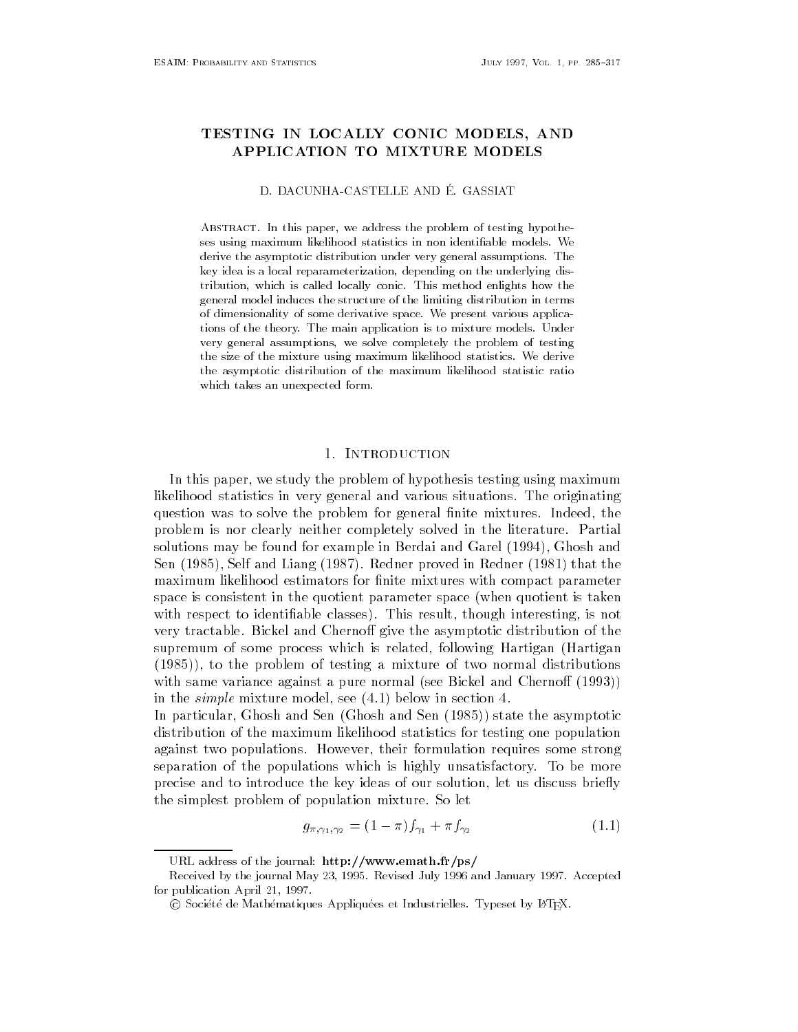# TESTING IN LOCALLY CONFIDENTIAL CONFIDENTIAL CONFIDENTIAL CONFIDENTIAL CONFIDENTIAL CONFIDENTIAL CONFIDENTIAL CONFIDENTIAL CONFIDENTIAL CONFIDENTIAL CONFIDENTIAL CONFIDENTIAL CONFIDENTIAL CONFIDENTIAL CONFIDENTIAL CONFIDEN APPLICATION TO MIXTURE MODELS

#### D. DACUNHA-CASTELLE AND É. GASSIAT

Abstract- In this paper we address the problem of testing hypothe ses using maximum likelihood statistics in non identiable models- We derive the asymptotic distribution under very general assumptions- The key idea is a local reparameterization, depending on the underlying distribution which is called locally continued locally continued in  $\mathbf{f}$  and  $\mathbf{f}$ general model induces the structure of the limiting distribution in terms of dimensionality of some derivative space- We present various applica tions of the theory- The main application is to mixture models- Under very general assumptions, we solve completely the problem of testing the size of the mixture using maximum likelihood statistics- We derive the asymptotic distribution of the maximum likelihood statistic ratio which takes an unexpected form.

# 1. INTRODUCTION

In this paper- we study the problem of hypothesis testing using maximum likelihood statistics in very general and various situations. The originating question was to solve the problem for general nite mixtures independent independent independent independent in problem is nor clearly neither completely solved in the literature. Partial solutions may be found for example in Berdai and Garel - Ghosh and Sen - Self and Liang  Redner proved in Redner that the maximum likelihood estimators for finite mixtures with compact parameter space is consistent in the quotient parameter space (when quotient is taken with respect to identify the classes of the classes of the classes of the classes of the classes of the classes very tractable Bickel and Cherno
 give the asymptotic distribution of the supremum of some process which is related- following Hartigan Hartigan  $\mathbf{t}$ with same variance against a pure normal (see Bickel and Chernoff  $(1993)$ ) in the simple mixture model-below in section  $\mathbf{b}$  , we have the section of  $\mathbf{b}$ 

in particular-state the asymptotic state the asymptotic state through and Sen Ghosh and Sen Ghosh and Sen Ghos distribution of the maximum likelihood statistics for testing one population against two populations However- their formulation requires some strong separation of the populations which is highly unsatisfactory. To be more precise and to introduce the key ideas of our solution- let us discuss briey the simplest problem of population mixture. So let

$$
g_{\pi,\gamma_1,\gamma_2} = (1 - \pi)f_{\gamma_1} + \pi f_{\gamma_2} \tag{1.1}
$$

URL address of the journal http-wwwemathfrps

received by the journal May and July 2014, and July 2014, and July 2014, and July 2014, and July 2014, and Jul for publication April -

C Societe de Mathematiques Appliquees et Industrielles. Typeset by ETEA.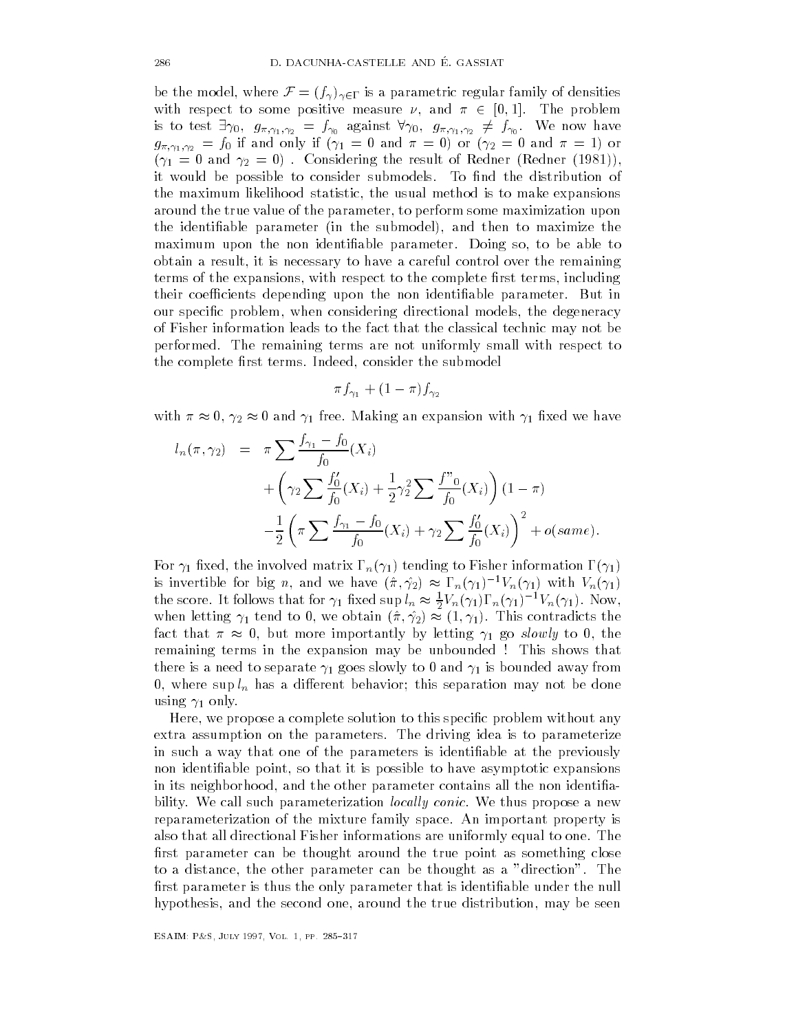be the model, where  $\mathcal{F} = (f_\gamma)_{\gamma \in \Gamma}$  is a parametric regular family of densities with respect to some positive measure  $\nu$ , and  $\pi \in [0,1]$ . The problem is to test  $\exists \gamma_0, g_{\pi, \gamma_1, \gamma_2} = f_{\gamma_0}$  against  $\forall \gamma_0, g_{\pi, \gamma_1, \gamma_2} \neq f_{\gamma_0}$ . We now have g-"''|1|'|2 30 V V V I And I And I And I And I And I And I And I And I And I And I And I And I And I And I And  $\begin{array}{ccc} \text{14} & \text{12} & \text{15} & \text{16} \end{array}$ it would be possible to consider submodels. To find the distribution of the maximum likelihood statistic- the usual method is to make expansions around the true value of the parameter- to perform some maximization upon the identiable parameter in the submodel  $\mathcal{M}$  is the submodel  $\mathcal{M}$  then to maximize then to maximize then to maximize the submodel  $\mathcal{M}$ maximum upon the non identiable parameter Doing so- to be able to obtain a result-independent control over the remaining  $\mathbf{I}$ terms of the expansions- with respect to the complete rst terms- including their coefficients depending upon the non identifiable parameter. But in our species problem-direction directions of the degeneracy of the degeneracy of the degeneracy of the degeneracy of Fisher information leads to the fact that the classical technic may not be performed. The remaining terms are not uniformly small with respect to the complete rst terms Indeed- consider the submodel

$$
\pi f_{\gamma_1} + (1 - \pi) f_{\gamma_2}
$$

with  $\pi \approx 0$ ,  $\gamma_2 \approx 0$  and  $\gamma_1$  free. Making an expansion with  $\gamma_1$  fixed we have

$$
l_n(\pi, \gamma_2) = \pi \sum \frac{f_{\gamma_1} - f_0}{f_0}(X_i)
$$
  
+  $\left(\gamma_2 \sum \frac{f_0'}{f_0}(X_i) + \frac{1}{2}\gamma_2^2 \sum \frac{f''_0}{f_0}(X_i)\right)(1 - \pi)$   
-  $\frac{1}{2}\left(\pi \sum \frac{f_{\gamma_1} - f_0}{f_0}(X_i) + \gamma_2 \sum \frac{f_0'}{f_0}(X_i)\right)^2 + o(same).$ 

 $\mathcal{F}$  the involved matrix normation of the intervals of the intervals of the intervals of the intervals of the intervals of the intervals of the intervals of the intervals of the intervals of the intervals of the inter is invertible for big n, and we have  $(\hat{\pi}, \hat{\gamma}_2) \approx \Gamma_n(\gamma_1)^{-1} V_n(\gamma_1)$  with  $V_n(\gamma_1)$ the score. It follows that for  $\gamma_1$  fixed  $\sup l_n \approx \frac{1}{2} V_n(\gamma_1) \Gamma_n(\gamma_1)^{-1} V_n(\gamma_1)$ . Now, when letting  $\gamma_1$  tend to 0, we obtain  $(\hat{\pi}, \hat{\gamma_2}) \approx (1, \gamma_1)$ . This contradicts the fact that  $\pi \approx 0$ , but more importantly by letting  $\gamma_1$  go slowly to 0, the remaining terms in the expansion may be unbounded ! This shows that there is a need to separate  $\gamma_1$  goes slowly to 0 and  $\gamma_1$  is bounded away from - where sup ln has a di
erent behavior this separation may not be done using  $\gamma_1$  only.

Here- we propose a complete solution to this specic problem without any extra assumption on the parameters. The driving idea is to parameterize in such a way that one of the parameters is identifiable at the previously non identiable point-ble point-ble point-ble point-ble point-ble point-ble point-ble point-ble point-ble pointin its neighborhood- and the other parameter contains all the non identia bility. We call such parameterization *locally conic*. We thus propose a new reparameterization of the mixture family space An important property is also that all directional Fisher informations are uniformly equal to one The first parameter can be thought around the true point as something close to a distance-the other parameters can be thought as a direction Theory first parameter is thus the only parameter that is identifiable under the null hypothesis- and the second one- around the true distribution- may be seen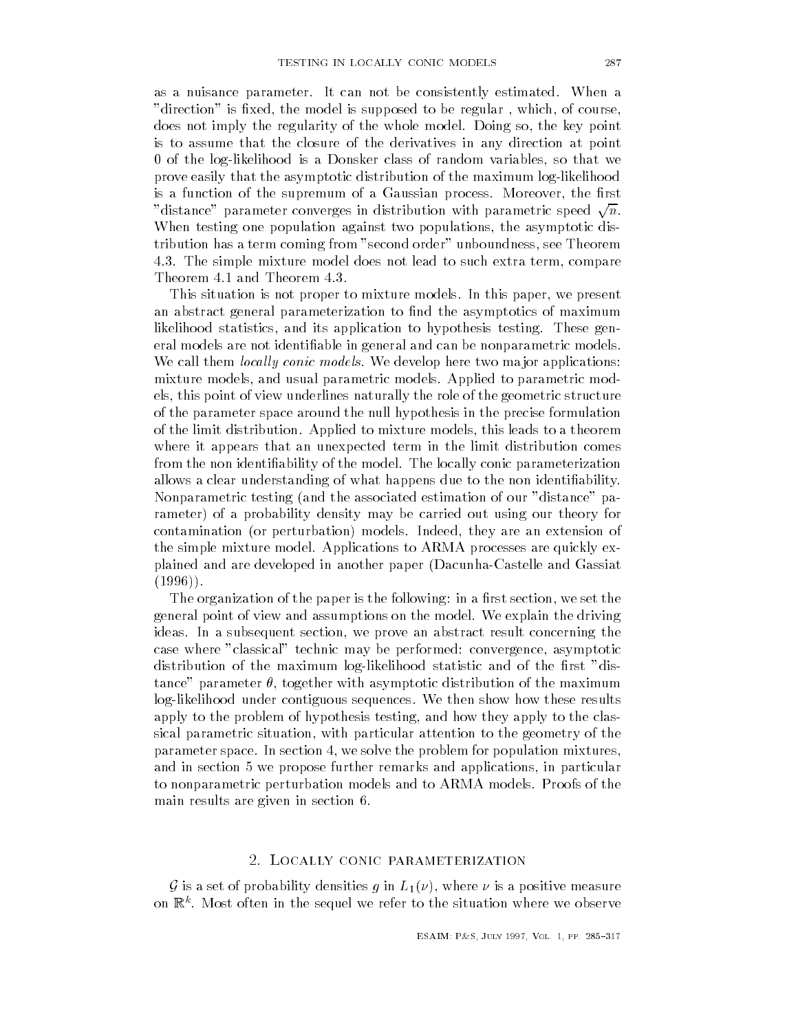as a nuisance parameter. It can not be consistently estimated. When a direction is the model is supposed to be regular - which- which- which- which- which- which- which- which- whichdoes not imply the regularity of the whole model Doing so-the whole model Doing so-the whole model Doing so-th is to assume that the closure of the derivatives in any direction at point of the loglikelihood is a Donsker class of random variables- so that we prove easily that the asymptotic distribution of the maximum log-likelihood is a function of the supremum of a Gaussian process Moreover- the rst is a function of the supremum of a Gaussian process. Moreover, the first<br>"distance" parameter converges in distribution with parametric speed  $\sqrt{n}$ . When testing one population against two populations- the asymptotic dis tribution has a term coming from second order unboundness- see Theorem The simple mixture model does not lead to such extra term- compare Theorem  $4.1$  and Theorem  $4.3.$ 

This situation is not proper to mixture models In this paper- we present an abstract general parameterization to find the asymptotics of maximum likelihood statistics- and its application to hypothesis testing These gen eral models are not identifiable in general and can be nonparametric models. We call them *locally conic models*. We develop here two major applications: mixture models- and usual parametric models Applied to parametric mod els- this point of view underlines naturally the role of the geometric structure of the parameter space around the null hypothesis in the precise formulation of the limit distribution Applied to mixture models- this leads to a theorem where it appears that an unexpected term in the limit distribution comes from the non identifiability of the model. The locally conic parameterization allows a clear understanding of what happens due to the non identifiability. Nonparametric testing (and the associated estimation of our "distance" parameter) of a probability density may be carried out using our theory for contamination or perturbation models Indeed- they are an extension of the simple mixture model Applications to ARMA processes are quickly ex plained and are developed in another paper (Dacunha-Castelle and Gassiat  $(1996)$ .

The organization of the paper is the following in a rst section- we set the general point of view and assumptions on the model We explain the driving ideas In a subsequent section- we prove an abstract result concerning the case where classical technic may be performed convergence- asymptotic may be performed convergence- asymptotic distribution of the maximum log-likelihood statistic and of the first "distance parameter - together with asymptotic distribution of the maximum log-likelihood under contiguous sequences. We then show how these results apply to the problem of hypothesis testing- and how they apply to the clas sical parametric situation- with particular attention to the geometry of the parameter space In section - we solve the problem for population mixturesand in section of we propose further remains and applications-  $\mathcal{L}_{\mathcal{A}}$ to nonparametric perturbation models and to ARMA models. Proofs of the main results are given in section

is a set of probability densities  $g$  in LII  $\pm$  1 where  $\pm$  and  $\pm$  positive measure  $\pm$ on Rk Most often in the sequel we refer to the situation where we observe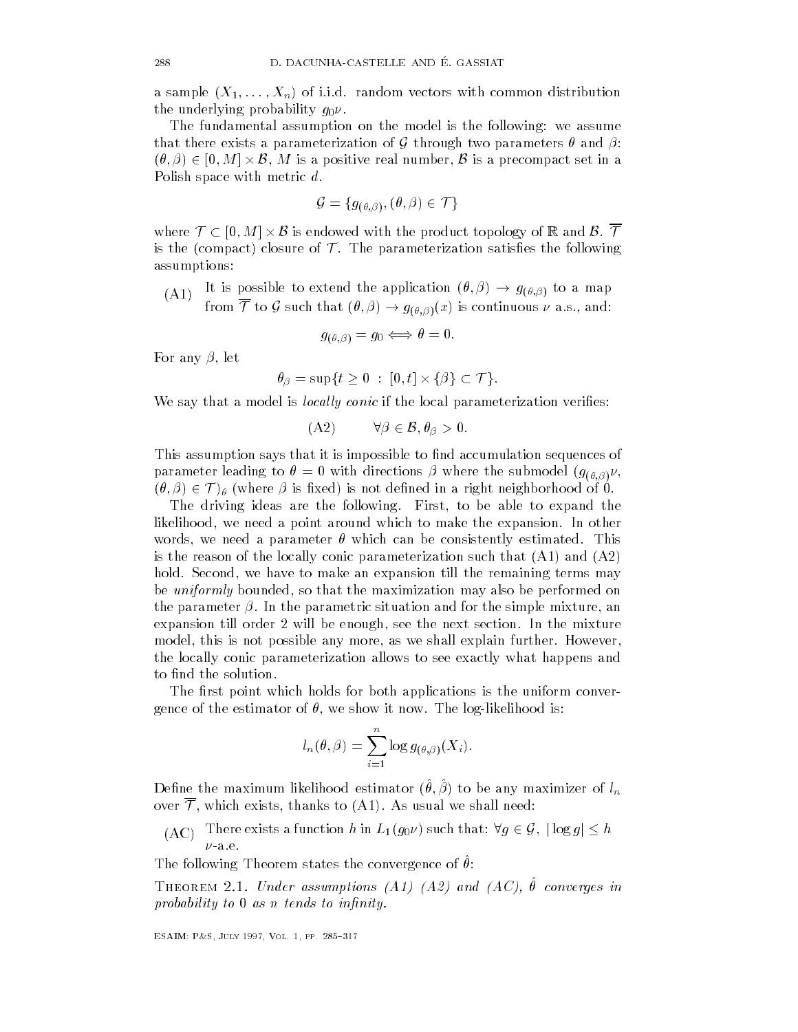a sample  $(X_1, \ldots, X_n)$  of i.i.d. random vectors with common distribution the underlying probability  $g_0 \nu$ .

The fundamental assumption on the model is the following: we assume that there exists a parameterization of G through two parameters  $\theta$  and  $\beta$ : The fundamental assumption on the model is the following: we assume<br>that there exists a parameterization of  $G$  through two parameters  $\theta$  and  $\beta$ :<br> $(\theta, \beta) \in [0, M] \times \mathcal{B}$ ,  $M$  is a positive real number,  $\mathcal B$  is a pre Polish space with metric d.

$$
\mathcal{G} = \{g_{(\theta,\beta)}, (\theta,\beta) \in \mathcal{T}\}
$$

where  $\mathcal{T} \subset [0, M] \times \mathcal{B}$  is endowed with the product topology of R and  $\mathcal{B}$ .  $\overline{\mathcal{T}}$ is the (compact) closure of  $\mathcal T$ . The parameterization satisfies the following assumptions

(A1) It is possible to extend the application  $(\theta, \beta) \to g_{(\theta, \beta)}$  to a map from  $\mathcal T$  to  $\mathcal G$  such that  $(\theta, \beta) \to g_{(\theta, \beta)}(x)$  is continuous  $\nu$  a.s., and:

$$
g_{(\theta,\beta)} = g_0 \Longleftrightarrow \theta = 0.
$$

For any - let

$$
\theta_{\beta} = \sup\{t \ge 0 \ : \ [0, t] \times \{\beta\} \subset \mathcal{T}\}.
$$

We say that a model is local ly conic if the local parameterization veries e local paran $\mathcal{B}, \theta_{\beta} > 0.$ 

$$
(A2) \t\t \forall \beta \in \mathcal{B}, \theta_{\beta} > 0.
$$

This assumption says that it is impossible to nd accumulation sequences of parameter leading to directions in the submodel group of the submodel group  $\mathcal{W}(\mathcal{W})$  $(\theta, \beta) \in \mathcal{T}$ )  $\theta$  (where  $\beta$  is fixed) is not defined in a right neighborhood of 0. umptioi<br>er leadi

The driving ideas are the following First- to be able to expand the likelihood- we need a point around which to make the expansion In other words-we need a parameter in the constant of the consistent of the constant of the constant of the constant of is the reason of the locally conic parameterization such that  $(A1)$  and  $(A2)$ hold Second- we have to make an expansion till the remaining terms may be uniformly bounded- so that the maximization may also be performed on the parameter In the parametric situation and for the simple mixture- an expansion till order will be enough- see the next section In the mixture model- this is not possible any more- as we shall explain further Howeverthe locally conic parameterization allows to see exactly what happens and to find the solution.

The first point which holds for both applications is the uniform conver- $\mathbf{f}$  the estimator of  $\mathbf{f}$ 

$$
l_n(\theta, \beta) = \sum_{i=1}^n \log g_{(\theta, \beta)}(X_i).
$$

Denie the maximum intermoducestimator  $(v, \rho)$  to be any maximizer of  $\iota_n$ over  ${\cal T}$ , which exists, thanks to (A1). As usual we shall need: eme the maximum intention estimator  $(\sigma, \rho)$  to be any maximizer of  $\iota_n$ <br>ver  $\overline{\mathcal{T}}$ , which exists, thanks to (A1). As usual we shall need:<br>(AC) There exists a function h in  $L_1(g_0 \nu)$  such that:  $\forall g \in \mathcal{G}$ ,  $|\log g$ 

The following Theorem states the convergence of v.

 $I$  and  $I$  and  $I$  are  $I$  assumptions  $I$  and  $I$  and  $I$  and  $I$  and  $I$  are  $I$  are  $I$  are  $I$  and  $I$  are  $I$  and  $I$  are  $I$  are  $I$  and  $I$  are  $I$  are  $I$  and  $I$  are  $I$  are  $I$  and  $I$  are  $I$  are  $I$  and  $I$  a probability to  $0$  as n tends to infinity.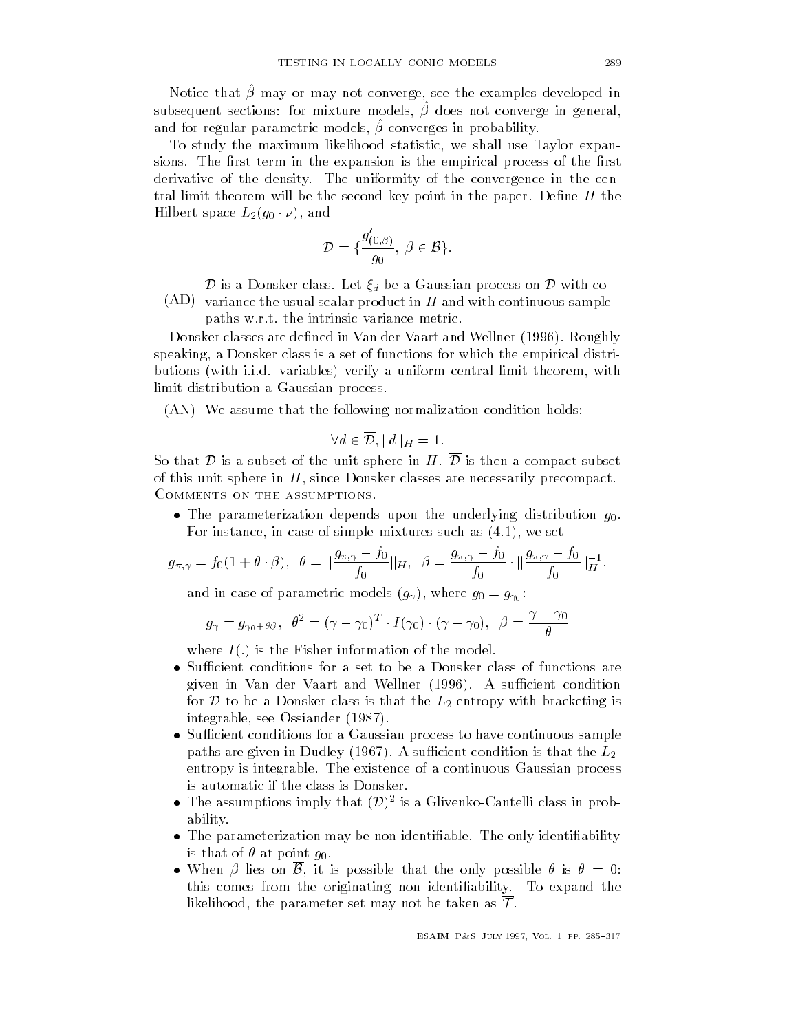riouec that p may or may not converge, see the examples developed in subsequent sections. Tor mixture models, p does not converge in general, and for regular parameterization of regular parameterization of regular parameterization of regular parameteri and for regular parametric models.  $\hat{\beta}$  converges in probability. converges in probability in probability of the converges in the convergence of the converges in the convergence of the convergence of the convergence of the convergence of the convergence of the convergence of the converge

To study the maximum likelihood statistic- we shall use Taylor expan sions. The first term in the expansion is the empirical process of the first derivative of the density. The uniformity of the convergence in the central limit theorem will be the second key point in the paper. Define  $H$  the Hilbert space  $L_2(g_0 \cdot \nu),$  and  $\mathcal{B}$ .

$$
\mathcal{D} = \{ \frac{g'_{(0,\beta)}}{g_0}, \ \beta \in \mathcal{B} \}.
$$

**Distances** is a Donsker class. Let  $\xi_d$  be a Gaussian process on  ${\cal D}$  with co-

 $\gamma$   $\gamma$  , written control abutter better product in H and with continuous stample paths w.r.t. the intrinsic variance metric.

Donsker classes are defined in Van der Vaart and Wellner (1996). Roughly speaking- a Donsker class is a set of functions for which the empirical distri butions with induced verify a uniform central limit theorem-with the verify a uniform central limit theorem-wi limit distribution a Gaussian process.

 $(AN)$  We assume that the following normalization condition holds:

$$
\forall d \in \overline{\mathcal{D}}, ||d||_H = 1.
$$

So that  ${\cal D}$  is a subset of the unit sphere in  $H$  .  $\overline{\cal D}$  is then a compact subset of this unit sphere in H- since Donsker classes are necessarily precompact COMMENTS ON THE ASSUMPTIONS.

 The parameterization depends upon the underlying distribution g For instance- in case of simple mixtures such as - we set  $\overline{b}$ , we set

$$
g_{\pi,\gamma} = f_0(1 + \theta \cdot \beta), \ \ \theta = \|\frac{g_{\pi,\gamma} - f_0}{f_0}\|_H, \ \ \beta = \frac{g_{\pi,\gamma} - f_0}{f_0} \cdot \|\frac{g_{\pi,\gamma} - f_0}{f_0}\|_H^{-1}.
$$

and in case of parametric models g - where g g

$$
g_{\gamma} = g_{\gamma_0 + \theta \beta}, \ \ \theta^2 = (\gamma - \gamma_0)^T \cdot I(\gamma_0) \cdot (\gamma - \gamma_0), \ \ \beta = \frac{\gamma - \gamma_0}{\theta}
$$

where  $I(.)$  is the Fisher information of the model.

- given in Van der Vaart and Wellner (1996). A sufficient condition for D to be a Donsker class is that the  $L_2$ -entropy with bracketing is integrable- see Ossiander
- Sucient conditions for a Gaussian process to have continuous sample paths are given in Dudley (1967). A sufficient condition is that the  $L_2\text{-}$ entropy is integrable The existence of a continuous Gaussian process is automatic if the class is Donsker
- The assumptions imply that  $(D)^2$  is a Glivenko-Cantelli class in probability
- The parameterization may be non identiable The only identiability is that of  $\theta$  at point  $q_0$ .
- When  $\beta$  lies on  $\beta$ , it is possible that the only possible  $\theta$  is  $\theta = 0$ : this comes from the originating non identifiability. To expand the likelihood, the parameter set may not be taken as  ${\cal T}.$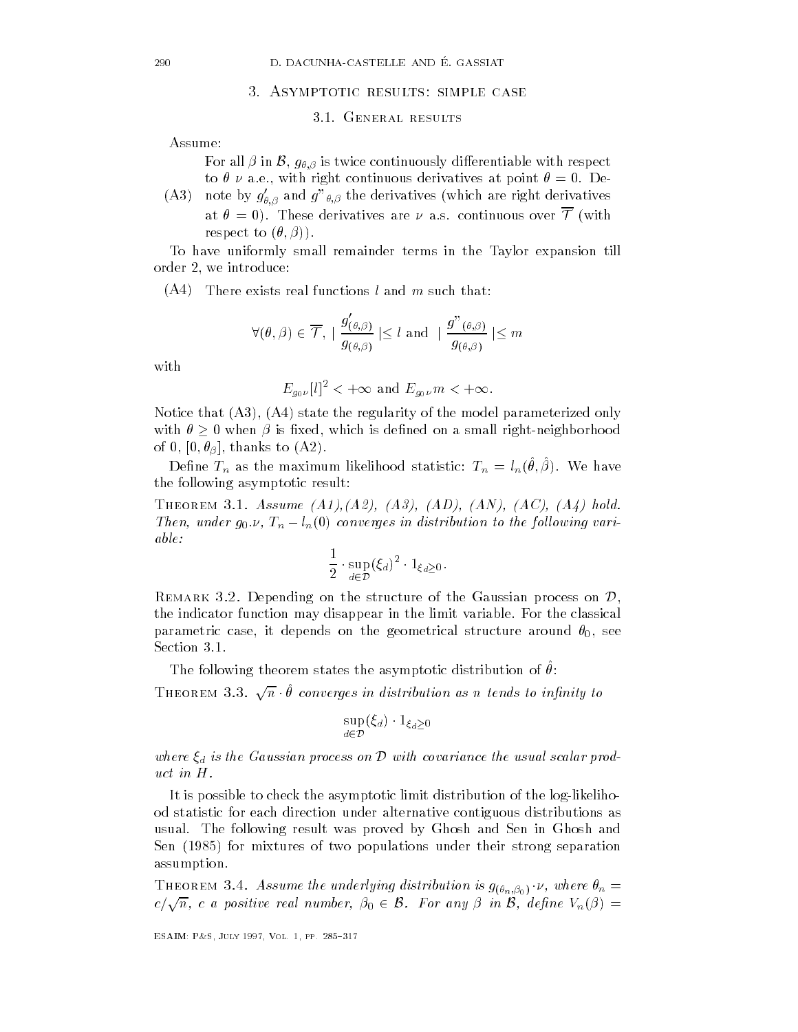#### 3. ASYMPTOTIC RESULTS: SIMPLE CASE

#### 3.1. GENERAL RESULTS

Assume:

For all  $\beta$  in  $\mathcal{B},\,g_{\theta,\beta}$  is twice continuously differentiable with respect to a experimental to  $\mathbf{u}$  are accompanions at point  $\mathbf{u}$  at point  $\mathbf{u}$  at point  $\mathbf{u}$  and  $\mathbf{u}$ 

 $(A3)$ note by  $g_{\theta, \beta}$  and  $g_{-\theta, \beta}$  the derivatives (which are right derivatives at  $\theta = 0$ ). These derivatives are  $\nu$  a.s. continuous over  $\overline{\mathcal{T}}$  (with respect to  $(\theta, \beta)$ .

To have uniformly small remainder terms in the Taylor expansion till order - we introduce the second control of the second control of the second control of the second control of t

 $\sqrt{2}$  there exists real functions l and m such that  $\ell$ 

$$
\forall (\theta,\beta) \in \overline{\mathcal{T}}, \mid \frac{g'_{(\theta,\beta)}}{g_{(\theta,\beta)}} \mid \leq l \text{ and } \mid \frac{g"_{(\theta,\beta)}}{g_{(\theta,\beta)}} \mid \leq m
$$

with

$$
E_{g_0\nu}[l]^2 < +\infty \text{ and } E_{g_0\nu}m < +\infty.
$$

Notice that Article the regularity of the model parameterized only the model parameterized on the model parameterized on the model parameterized on the model parameterized on the model parameterized on the model parameteri with  $\theta \geq 0$  when  $\beta$  is fixed, which is defined on a small right-neighborhood of the state of the state of the state of the state of the state of the state of the state of the state of the

Denne  $I_n$  as the maximum intendout statistic.  $I_n = \ell_n(v, \beta)$ . We have the following asymptotic result

Theorem Assume -A-A -A -AD -AN -AC -A hold Then, under  $g_0 \nu$ ,  $T_n - l_n(0)$  converges in distribution to the following variable

$$
\frac{1}{2} \cdot \sup_{d \in \mathcal{D}} (\xi_d)^2 \cdot 1_{\xi_d \geq 0}.
$$

REMARK 3.2. Depending on the structure of the Gaussian process on  $\mathcal{D}$ , the indicator function may disappear in the limit variable For the classical parametric case- it depends on the geometrical structure around - see Section 3.1.

The following theorem states the asymptotic distribution of v.

THEOREM 3.3.  $\sqrt{n} \cdot \hat{\theta}$  converges in distribution as n tends to infinity to

$$
\sup_{d \in \mathcal{D}} (\xi_d) \cdot 1_{\xi_d \ge 0}
$$

where  $\xi_d$  is the Gaussian process on D with covariance the usual scalar product in H

It is possible to check the asymptotic limit distribution of the log-likelihood statistic for each direction under alternative contiguous distributions as usual. The following result was proved by Ghosh and Sen in Ghosh and Sen for mixtures of two populations under their strong separation assumption

THEOREM 3.4. Assume the underlying distribution is  $g_{(\theta_n,\beta_0)}$  v, where  $\theta_n =$ THEOREM 9.4. The analogue in the analogue distribution is  $g_{(\theta_n,\beta_0)}\cdot \nu$ , where  $\theta_n =$ <br>B. For any  $\beta$  in B, define  $V_n(\beta) =$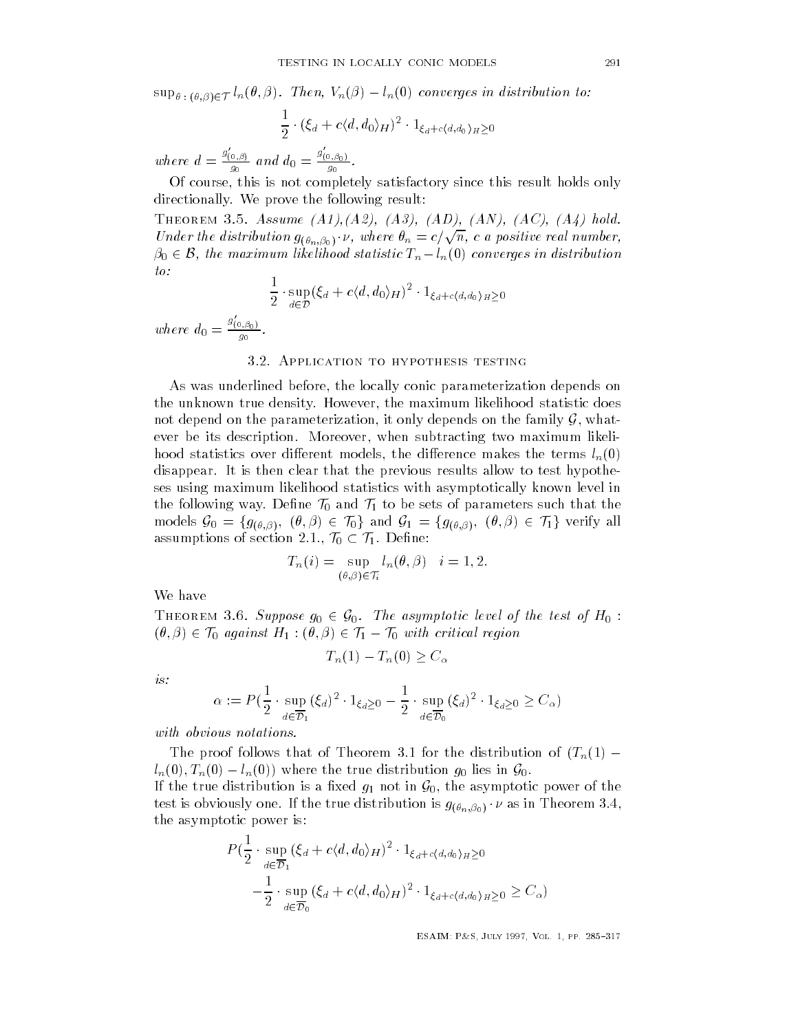$\sup_{\theta \; : \; (\theta, \beta) \in \mathcal{T}} l_n(\theta, \beta)$ . Then,  $V_n(\beta) - l_n(0)$  converges in distribution to:

$$
\frac{1}{2} \cdot (\xi_d + c \langle d, d_0 \rangle_H)^2 \cdot 1_{\xi_d + c \langle d, d_0 \rangle_H \ge 0}
$$

where  $d = \frac{g_{(0,\beta)}}{g_0}$  and  $d_0 = \frac{g_{(0,\beta_0)}}{g_0}$  $\frac{g_{(0,\beta_0)}}{a}$ .  $\overline{\phantom{a}}$ 

Of course- this is not completely satisfactory since this result holds only directionally. We prove the following result:

Theorem Assume -A-A -A -AD -AN -AC -A hold THEOKEM 3.3. Assume  $(A1), (A2), (B3), (AD), (AV), (A0), (A4)$  noia.<br>Under the distribution  $g_{(\theta_n,\beta_0)} \cdot \nu$ , where  $\theta_n = c/\sqrt{n}$ , c a positive real number,  $\beta_0 \in \mathcal{B}$ , the maximum likelihood statistic  $T_n - l_n(0)$  converges in distribution DREM 3.5. Assume  $(A1)$ ,  $(A2)$ ,  $(A3)$ ,  $(AD)$ ,  $(AN)$ ,  $(AC)$ ,  $(A4)$  hold.<br>
In the distribution  $g_{(\theta_n,\beta_0)} \cdot \nu$ , where  $\theta_n = c/\sqrt{n}$ , c a positive real number,<br>
B, the maximum likelihood statistic  $T_n - l_n(0)$  converges in distr  $to$ :  $\frac{1}{2}$ 

$$
\frac{1}{2} \cdot \sup_{d \in \mathcal{D}} (\xi_d + c \langle d, d_0 \rangle_H)^2 \cdot 1_{\xi_d + c \langle d, d_0 \rangle_H \ge 0}
$$

where  $d_0 = \frac{g_{(0,\beta_0)}}{a_0}$ .  $g_0$  and  $g_0$ 

# 3.2. APPLICATION TO HYPOTHESIS TESTING

As was underlined before- the locally conic parameterization depends on the unknown true density However- the maximum likelihood statistic does not depend on the parameterization, it only depends on the family  $\mathcal G,$  whatever be its description Moreover- when subtracting two maximum likeli however different models-the different models-different models-different modelsdisappear. It is then clear that the previous results allow to test hypotheses using maximum likelihood statistics with asymptotically known level in the following way. Define  $\mathcal{T}_0$  and  $\mathcal{T}_1$  to be sets of parameters such that the ses using maximum likelihood statistics with asymptotically known level in<br>the following way. Define  $\mathcal{T}_0$  and  $\mathcal{T}_1$  to be sets of parameters such that the<br>models  $\mathcal{G}_0 = \{g_{(\theta,\beta)}, (\theta,\beta) \in \mathcal{T}_0\}$  and  $\mathcal{G}_1 = \{g_{$ assumptions of section 2.1.,  $\mathcal{T}_0 \subset \mathcal{T}_1$ . Define: , and  $\mathcal{T}_1$  to be sets<br> $\in \mathcal{T}_0$  and  $\mathcal{G}_1 = \{$ <br> $\mathcal{T}_0 \subset \mathcal{T}_1$ . Define:

$$
T_n(i) = \sup_{(\theta,\beta)\in\mathcal{T}_i} l_n(\theta,\beta) \quad i = 1,2.
$$

We have<br>THEOREM 3.6. Suppose  $g_0 \in \mathcal{G}_0$ . The asymptotic level of the test of  $H_0$  : We have<br>THEOREM 3.6. Suppose  $g_0 \in \mathcal{G}_0$ . The asymptotic level of the<br> $(\theta, \beta) \in \mathcal{T}_0$  against  $H_1 : (\theta, \beta) \in \mathcal{T}_1 - \mathcal{T}_0$  with critical region

$$
T_n(1) - T_n(0) \ge C_\alpha
$$

is

$$
\alpha := P\left(\frac{1}{2} \cdot \sup_{d \in \overline{\mathcal{D}}_1} (\xi_d)^2 \cdot 1_{\xi_d \ge 0} - \frac{1}{2} \cdot \sup_{d \in \overline{\mathcal{D}}_0} (\xi_d)^2 \cdot 1_{\xi_d \ge 0} \ge C_\alpha\right)
$$

with obvious notations.

The proof follows that of Theorem 3.1 for the distribution of  $(T_n(1)$   $l_n(0), T_n(0) - l_n(0)$  where the true distribution  $g_0$  lies in  $\mathcal{G}_0$ . If the true distribution is a fixed  $g_1$  not in  $\mathcal{G}_0$ , the asymptotic power of the test is obviously one. If the true distribution is  $g_{(\theta_n,\beta_0)}\cdot \nu$  as in Theorem 3.4, the asymptotic power is

$$
P(\frac{1}{2} \cdot \sup_{d \in \overline{\mathcal{D}}_1} (\xi_d + c \langle d, d_0 \rangle_H)^2 \cdot 1_{\xi_d + c \langle d, d_0 \rangle_H \ge 0}
$$
  

$$
-\frac{1}{2} \cdot \sup_{d \in \overline{\mathcal{D}}_0} (\xi_d + c \langle d, d_0 \rangle_H)^2 \cdot 1_{\xi_d + c \langle d, d_0 \rangle_H \ge 0} \ge C_\alpha)
$$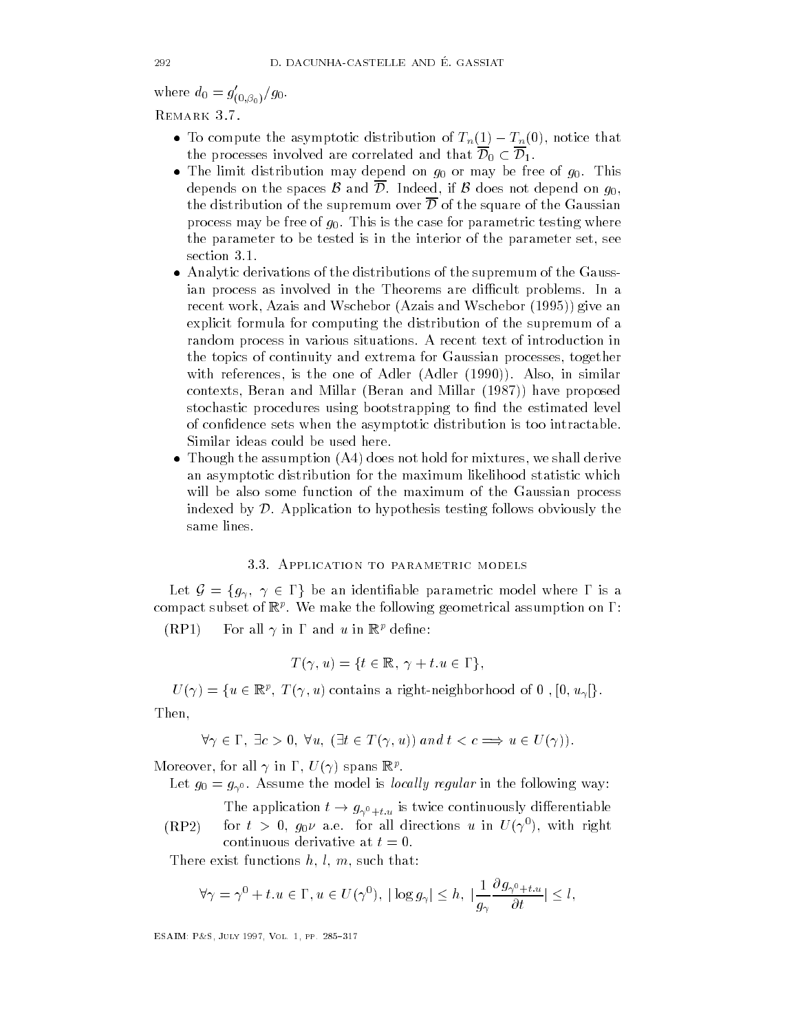where  $u_0 = g_{(0, \beta_0)}/g_0$ . REMARK 3.7.

- To compute the asymptotic distribution of  $T_n(1) T_n(0)$ , notice that the processes involved are correlated and that  $\overline{\mathcal{D}}_0 \subset \overline{\mathcal{D}}_1$ .
- $\mathcal{I}$  is distribution may depend on g or may be free of g  $\mathcal{I}$ depends on the spaces  $\mathcal B$  and  $\mathcal D.$  Indeed, if  $\mathcal B$  does not depend on  $g_0,$ the distribution of the supremum over  $\overline{\mathcal{D}}$  of the square of the Gaussian process may be free of  $g_0$ . This is the case for parametric testing where the parameter to be tested is in the interior of the parameter set- see section 3.1.
- Analytic derivations of the distributions of the distributions of the supremum of the supremum of the Gaussian ian process as involved in the Theorems are difficult problems. In a recent work- Azais and Wschebor Azais and Wschebor give an explicit formula for computing the distribution of the supremum of a random process in various situations A recent text of introduction in the topics of continuity and extrema for Gaussian processes- together with references-definition  $\mathbf{r}$  and  $\mathbf{r}$  and  $\mathbf{r}$  and  $\mathbf{r}$  and  $\mathbf{r}$  $\mathbf{B}$  beran and Millar Beran and Millar Beran and Millar Beran and Millar Beran and Millar Beran and Millar Beran and Millar Beran and Millar Beran and Millar Beran and Millar Beran and Millar Beran and Millar Beran an stochastic procedures using bootstrapping to find the estimated level of confidence sets when the asymptotic distribution is too intractable. Similar ideas could be used here
- Though the assumption  $\mathbf{r}$  and  $\mathbf{r}$  are mixtures-derived for mixtures-derived for mixtures-derived for  $\mathbf{r}$ an asymptotic distribution for the maximum likelihood statistic which will be also some function of the maximum of the Gaussian process indexed by  $\mathcal D$ . Application to hypothesis testing follows obviously the same lines

#### 3.3. APPLICATION TO PARAMETRIC MODELS

Let  $\mathcal{G} = \{g_{\gamma}, \gamma \in \Gamma\}$  be an identifiable parametric model where  $\Gamma$  is a compact subset of  $\mathbb{R}^n$ . We make the following geometrical assumption on  $1$  .

 $(RP1)$  For all  $\gamma$  in  $\Gamma$  and u in  $\mathbb{R}^p$  define:

$$
T(\gamma, u) = \{ t \in \mathbb{R}, \ \gamma + t. u \in \Gamma \},
$$

 $U(\gamma) = \{u \in \mathbb{R}^p, T(\gamma, u) \text{ contains a right-neighborhood of } 0, [0, u_{\gamma}]\}.$ Then,

$$
\forall \gamma \in \Gamma, \exists c > 0, \forall u, (\exists t \in T(\gamma, u)) \text{ and } t < c \Longrightarrow u \in U(\gamma))
$$

INTO FOUR FIGHT ALL  $\gamma$  in  $1$  ,  $U(\gamma)$  spans  $\mathbb{R}^r$ .

Let  $g_0 = g_{\gamma^0}$ . Assume the model is *locally regular* in the following way:

 $(RP2)$ The application  $t \to g_{\gamma^0+t,u}$  is twice continuously differentiable for  $\iota > 0,~g_0 \nu$  a.e. for all directions  $u$  in  $U(\gamma$  ), with right continuous derivative at  $t=0$ .

There exist functions has been assumed to the control of the such that  $\mathbf{r}_i$ 

re exist functions 
$$
h, l, m
$$
, such that:  
\n
$$
\forall \gamma = \gamma^0 + t.u \in \Gamma, u \in U(\gamma^0), |\log g_{\gamma}| \le h, |\frac{1}{g_{\gamma}} \frac{\partial g_{\gamma^0 + t.u}}{\partial t}| \le l,
$$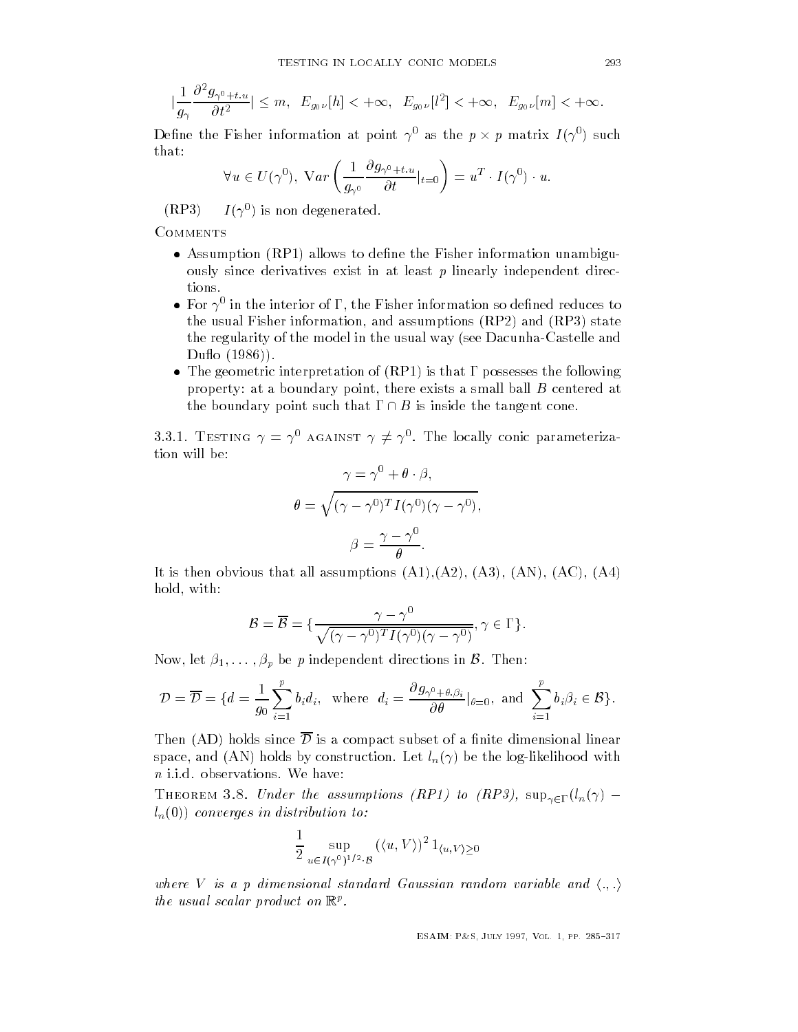$$
\frac{1}{g_{\gamma}} \frac{\partial^2 g_{\gamma^0 + t, u}}{\partial t^2} \le m, \ E_{g_{0\nu}}[h] < +\infty, \ E_{g_{0\nu}}[l^2] < +\infty, \ E_{g_{0\nu}}[m] < +\infty.
$$

Define the Fisher information at point  $\gamma^0$  as the  $p \times p$  matrix  $I(\gamma^0)$  such  $that:$ 

$$
\forall u \in U(\gamma^0), \ Var\left(\frac{1}{g_{\gamma^0}} \frac{\partial g_{\gamma^0 + t, u}}{\partial t}|_{t=0}\right) = u^T \cdot I(\gamma^0) \cdot u.
$$

 $(RP3)$ *I* ( ) is non degenerated.

COMMENTS

 $\overline{\phantom{a}}$ 

- Assumption RP allows to dene the Fisher information unambigu ously since derivatives exist in at least  $p$  linearly independent directions.
- $\bullet\,$  For  $\gamma^0$  in the interior of  $\Gamma,$  the Fisher information so defined reduces to the usual Fisher information-distribution-distribution-distribution-distribution-distribution-distribution-distribution-distribution-distribution-distribution-distribution-distribution-distribution-distribution-distributi the regularity of the model in the usual way (see Dacunha-Castelle and duota and the contract of the contract of the contract of the contract of the contract of the contract of the contract of the contract of the contract of the contract of the contract of the contract of the contract of the
- The geometric interpretation of  $\mathcal{R}^{\text{max}}$  is that is that is that is that is that is that is that is that is that is that is that is that is that is that is that is that is that is that is that is that is that is tha property at a boundary point- there exists a small ball B centered at the boundary point such that  $\Gamma \cap B$  is inside the tangent cone.

3.3.1. TESTING  $\gamma = \gamma^0$  AGAINST  $\gamma \neq \gamma^0$ . The locally conic parameterization will be

$$
\gamma = \gamma^{0} + \theta \cdot \beta,
$$

$$
\theta = \sqrt{(\gamma - \gamma^{0})^{T} I(\gamma^{0}) (\gamma - \gamma^{0})},
$$

$$
\beta = \frac{\gamma - \gamma^{0}}{\theta}.
$$

It is the absolute that an absolute that a strain and an absolute the strain and an absolute  $\mathbf{A}$ hold-bear and the contract of the contract of the contract of the contract of the contract of the contract of

$$
\mathcal{B} = \overline{\mathcal{B}} = \{ \frac{\gamma - \gamma^0}{\sqrt{(\gamma - \gamma^0)^T I(\gamma^0)(\gamma - \gamma^0)}}, \gamma \in \Gamma \}.
$$

Now, let  $\beta_1,\ldots,\beta_p$  be  $p$  independent directions in  ${\mathcal B}.$  Then:

Now, let 
$$
\beta_1, ..., \beta_p
$$
 be  $p$  independent directions in  $\beta$ . Then:  
\n
$$
\mathcal{D} = \overline{\mathcal{D}} = \{d = \frac{1}{g_0} \sum_{i=1}^p b_i d_i, \text{ where } d_i = \frac{\partial g_{\gamma^0 + \theta, \beta_i}}{\partial \theta} |_{\theta = 0}, \text{ and } \sum_{i=1}^p b_i \beta_i \in \mathcal{B} \}.
$$

Then (AD) holds since  $\overline{\mathcal{D}}$  is a compact subset of a finite dimensional linear space- and AN holds by construction Let ln be the loglikelihood with  $n$  i.i.d. observations. We have:

THEOREM 3.8. Under the assumptions (RP1) to (RP3),  $\sup_{\gamma \in \Gamma}(l_n(\gamma)$  $l_n(0)$  converges in distribution to:

$$
\frac{1}{2}\sup_{u\in I(\gamma^0)^{1/2}\cdot\mathcal{B}} (\langle u,V\rangle)^2 1_{\langle u,V\rangle\geq 0}
$$

where V is a p dimensional standard Gaussian random variable and  $\langle ., . \rangle$ the usual scalar product on  $\mathbb{R}^r$ .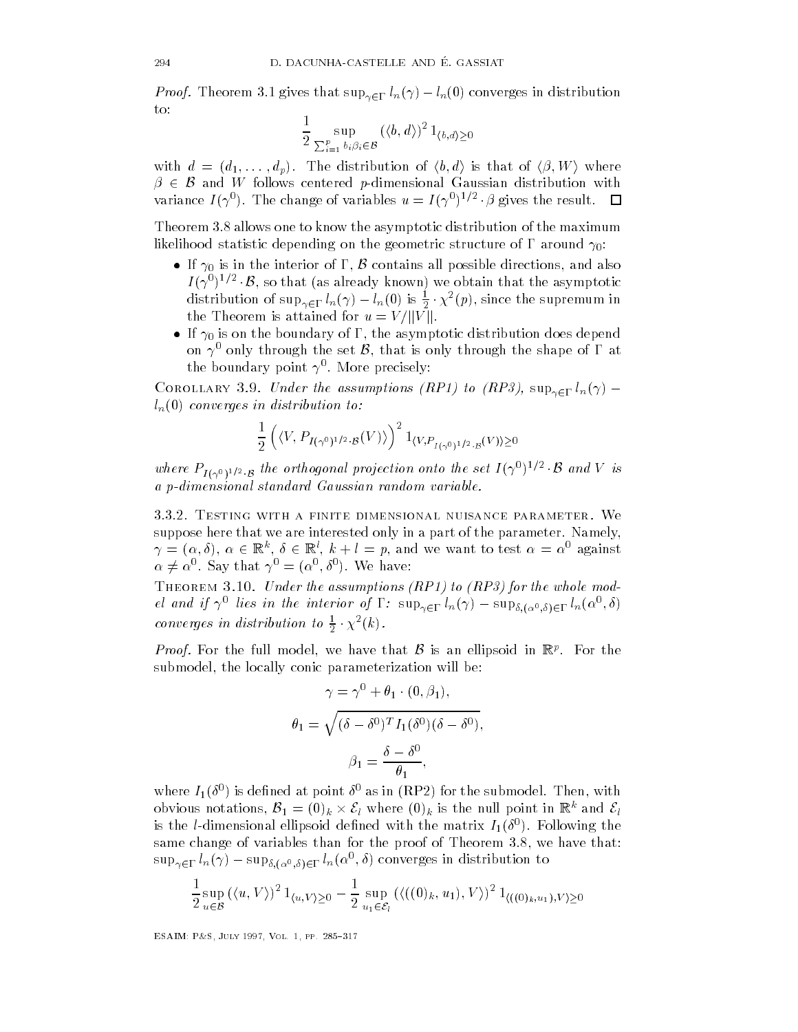*Proof.* Theorem 3.1 gives that  $\sup_{\gamma \in \Gamma} l_n(\gamma) - l_n(0)$  converges in distribution to

$$
\frac{1}{2}\sup_{\sum_{i=1}^p b_i\beta_i\in\mathcal{B}}\left(\langle b,d\rangle\right)^21_{\langle b,d\rangle\geq 0}
$$

with  $d = (d_1, \ldots, d_p)$ . The distribution of  $\langle b, d \rangle$  is that of  $\langle \beta, W \rangle$  where  $\beta \in \mathcal{B}$  and  $W$  follows centered p-dimensional Gaussian distribution with variance  $I(\gamma^0)$ . The change of variables  $u = I(\gamma^0)^{1/2} \cdot \beta$  $\mathbf{r}$  the results the results to result the results of the results of the results of the results of the results of the results of the results of the results of the results of the results of the results of the results o

Theorem allows one to know the asymptotic distribution of the maximum of the maximum of the maximum of the maximum likelihood statistic depending on the geometric structure of  $\Gamma$  around  $\gamma_0$ :

- If  $\gamma_0$  is in the interior of  $\Gamma$ ,  $\beta$  contains all possible directions, and also If it is in the interior of  $\mathcal I$ nood statistic depending on the geometric structure of  $\Gamma$  around  $\gamma_0$ :<br>If  $\gamma_0$  is in the interior of  $\Gamma$ ,  $\mathcal B$  contains all possible directions, and also<br> $I(\gamma^0)^{1/2} \cdot \mathcal B$ , so that (as already known) we obtain  $\cdot \chi^2(p)$ , since the supremum in the Theorem is attained for  $u = V / ||V||$ .
- If is one the boundary of  $\mathbf{I}$  is one does dependent of  $\mathbf{I}$ on  $\gamma^0$  only through the set  $\mathcal B$ , that is only through the shape of  $\Gamma$  at the boundary point  $\gamma$  . More precisely:

COROLLARY 3.9. Under the assumptions (RP1) to (RP3),  $\sup_{\gamma \in \Gamma} l_n(\gamma)$   $l_n(0)$  converges in distribution to:

$$
\frac{1}{2}\left(\langle V, P_{I(\gamma^0)^{1/2}\cdot \mathcal{B}}(V)\rangle\right)^2 1_{\langle V, P_{I(\gamma^0)^{1/2}\cdot \mathcal{B}}(V)\rangle \geq 0}
$$

 $\frac{1}{2}\left(\langle V, P_{I(\gamma^0)^{1/2}\cdot B}(V)\rangle\right)^{-1}\langle V, P_{I(\gamma^0)^{1/2}\cdot B}(V)\rangle\geq 0$ <br>where  $P_{I(\gamma^0)^{1/2}\cdot B}$  the orthogonal projection onto the set  $I(\gamma^0)^{1/2}\cdot B$  and V  $a$  p-dimensional standard Gaussian random variable.

3.3.2. TESTING WITH A FINITE DIMENSIONAL NUISANCE PARAMETER. We suppose here that we are interested only in a part of the parameter. Namely,  $\gamma = (\alpha, \delta), \alpha \in \mathbb{R}^k, \delta \in \mathbb{R}^l, k+l = p$ , and we want to test  $\alpha = \alpha^0$  against  $\alpha \neq \alpha^0$ . Say that  $\gamma^0 = (\alpha^0, \delta^0)$ . We have:

 $\mathbf{E} = \mathbf{E} \mathbf{E} \mathbf{E} \mathbf{E} \mathbf{E} \mathbf{E} \mathbf{E} \mathbf{E} \mathbf{E} \mathbf{E} \mathbf{E} \mathbf{E} \mathbf{E} \mathbf{E} \mathbf{E} \mathbf{E} \mathbf{E} \mathbf{E} \mathbf{E} \mathbf{E} \mathbf{E} \mathbf{E} \mathbf{E} \mathbf{E} \mathbf{E} \mathbf{E} \mathbf{E} \mathbf{E} \mathbf{E} \mathbf{E} \mathbf{E} \mathbf{E} \mathbf{E} \mathbf{E} \mathbf{E} \mathbf$ el and if  $\gamma^0$  lies in the interior of  $\Gamma: \sup_{\gamma \in \Gamma} l_n(\gamma) - \sup_{\delta, (\alpha^0, \delta) \in \Gamma} l_n(\alpha^0, \delta)$ converges in distribution to  $\frac{1}{2} \cdot \chi^2(k)$ .

*Proof.* For the full model, we have that  $\beta$  is an ellipsoid in  $\mathbb{R}^p$ . For the submodel- the locally conic parameterization will be

$$
\gamma = \gamma^{0} + \theta_{1} \cdot (0, \beta_{1}),
$$

$$
\theta_{1} = \sqrt{(\delta - \delta^{0})^{T} I_{1}(\delta^{0})(\delta - \delta^{0})},
$$

$$
\beta_{1} = \frac{\delta - \delta^{0}}{\theta_{1}},
$$

where  $I_1(\sigma)$  is defined at point  $\sigma$  as in (KPZ) for the submodel. Then, with obvious notations,  $B_1 = (0)_k \times \mathcal{E}_l$  where  $(0)_k$  is the null point in  $\mathbb{R}^k$  and  $\mathcal{E}_l$ ned at point  $\delta^0$  as in (RP2) for the submodel. Then, with  $\mathcal{B}_1 = (0)_k \times \mathcal{E}_l$  where  $(0)_k$  is the null point in  $\mathbb{R}^k$  and  $\mathcal{E}_l$ is the *t*-dimensional empsoid denned with the matrix  $I_1(o)$ . Following the same change of variables than for the proof of Theorem - we have that  $\sup_{\gamma \in \Gamma} l_n(\gamma) - \sup_{\delta, (\alpha^0, \delta) \in \Gamma} l_n(\alpha^0, \delta)$  converges in distribution to

$$
\frac{1}{2} \sup_{u \in \mathcal{B}} (\langle u, V \rangle)^2 1_{\langle u, V \rangle \ge 0} - \frac{1}{2} \sup_{u_1 \in \mathcal{E}_l} (\langle ((0)_k, u_1), V \rangle)^2 1_{\langle ((0)_k, u_1), V \rangle \ge 0}
$$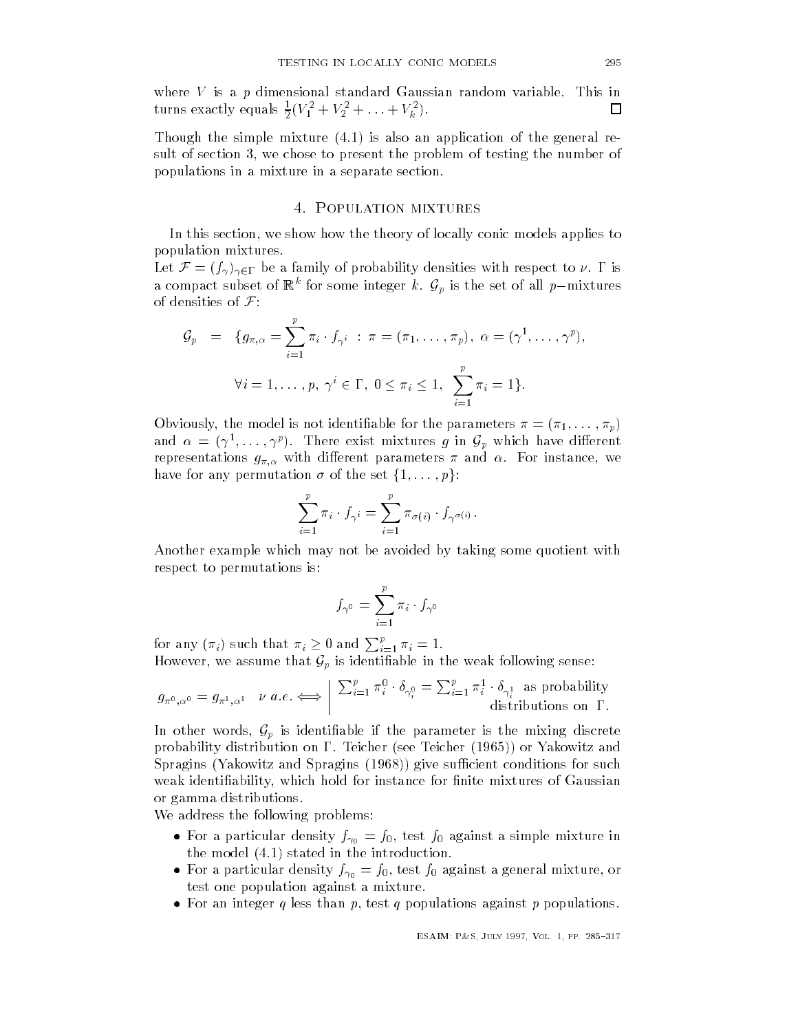where  $V$  is a  $p$  dimensional standard Gaussian random variable. This in where  $V$  is a p dimensional standard Gaussian random variable This includes the contract of the  $\alpha$  $\Box$ turns exactly equals  $\frac{1}{2}(V_1 + V_2 + \ldots + V_k)$ .

Though the simple mixture  $(4.1)$  is also an application of the general result of section - we chose to present the problem of testing the number of populations in a mixture in a separate section

# 4. POPULATION MIXTURES

In this section- we show how the theory of locally conic models applies to population mixtures

Let  $\mathcal{F} = (f_\gamma)_{\gamma \in \Gamma}$  be a family of probability densities with respect to  $\nu$ .  $\Gamma$  is a compact subset of  $\mathbb{R}^k$  for some integer  $k$ .  $\mathcal{G}_p$  is the set of all  $p-$ mixtures of densities of  $\mathcal{F}$ :

$$
\mathcal{G}_p = \{g_{\pi,\alpha} = \sum_{i=1}^p \pi_i \cdot f_{\gamma^i} : \pi = (\pi_1, \dots, \pi_p), \ \alpha = (\gamma^1, \dots, \gamma^p),
$$

$$
\forall i = 1, \dots, p, \ \gamma^i \in \Gamma, \ 0 \le \pi_i \le 1, \ \sum_{i=1}^p \pi_i = 1\}.
$$

Obviously-black international international international international international international internation<br>Production in the parameters of the parameters of the parameters of the parameters of the parameters of the pa and  $\alpha = (\gamma^1, \ldots, \gamma^p)$ . There exist mixtures g in  $\mathcal{G}_p$  which have different representations graduate the contract of the contract of the contract of the contract of the contract of the contract of the contract of the contract of the contract of the contract of the contract of the contract of the have for any permutation  $\sigma$  of the set  $\{1,\ldots,p\}$ :

$$
\sum_{i=1}^p \pi_i \cdot f_{\gamma^i} = \sum_{i=1}^p \pi_{\sigma(i)} \cdot f_{\gamma^{\sigma(i)}}.
$$

Another example which may not be avoided by taking some quotient with respect to permutations is

$$
f_{\gamma^0} = \sum_{i=1}^p \pi_i \cdot f_{\gamma^0}
$$

for any  $(\pi_i)$  such that  $\pi_i \geq 0$  and  $\sum_{i=1}^p \pi_i = 1$ . However, we assume that  $\mathcal{G}_p$  is identifiable in the weak following sense:

$$
g_{\pi^0,\alpha^0} = g_{\pi^1,\alpha^1} \quad \text{if } a.e. \Longleftrightarrow \left| \begin{array}{c} \sum_{i=1}^p \pi_i^0 \cdot \delta_{\gamma_i^0} = \sum_{i=1}^p \pi_i^1 \cdot \delta_{\gamma_i^1} \text{ as probability distributions on } \Gamma. \end{array} \right.
$$

In other words,  $\mathcal{G}_p$  is identifiable if the parameter is the mixing discrete probability distribution on  $\Gamma$ . Teicher (see Teicher (1965)) or Yakowitz and  $\mathcal{S}=\mathcal{S}$  . So and Spragins such and Spragins for such and Spragins for such and  $\mathcal{S}=\mathcal{S}$ which hold for instance for instance for instance for instance for instance for nite mixtures of Gaussian and or gamma distributions

We address the following problems:

- $\mathbf{r} = \mathbf{r} + \mathbf{r} + \mathbf{r} + \mathbf{r} + \mathbf{r} + \mathbf{r} + \mathbf{r} + \mathbf{r} + \mathbf{r} + \mathbf{r} + \mathbf{r} + \mathbf{r} + \mathbf{r} + \mathbf{r} + \mathbf{r} + \mathbf{r} + \mathbf{r} + \mathbf{r} + \mathbf{r} + \mathbf{r} + \mathbf{r} + \mathbf{r} + \mathbf{r} + \mathbf{r} + \mathbf{r} + \mathbf{r} + \mathbf{r} + \mathbf{r} + \mathbf{r} + \mathbf{r} + \mathbf$ the model  $(4.1)$  stated in the introduction.
- $\mathbf{F}$  are the finite density  $\mathbf{F}$  for  $\mathbf{F}$  for  $\mathbf{F}$  and  $\mathbf{F}$  or  $\mathbf{F}$  are  $\mathbf{F}$  and  $\mathbf{F}$  are  $\mathbf{F}$  and  $\mathbf{F}$  are  $\mathbf{F}$  and  $\mathbf{F}$  are  $\mathbf{F}$  and  $\mathbf{F}$  are  $\mathbf{F}$  and  $\mathbf{F}$ test one population against a mixture
- For an integer q less than p- test q populations against p populations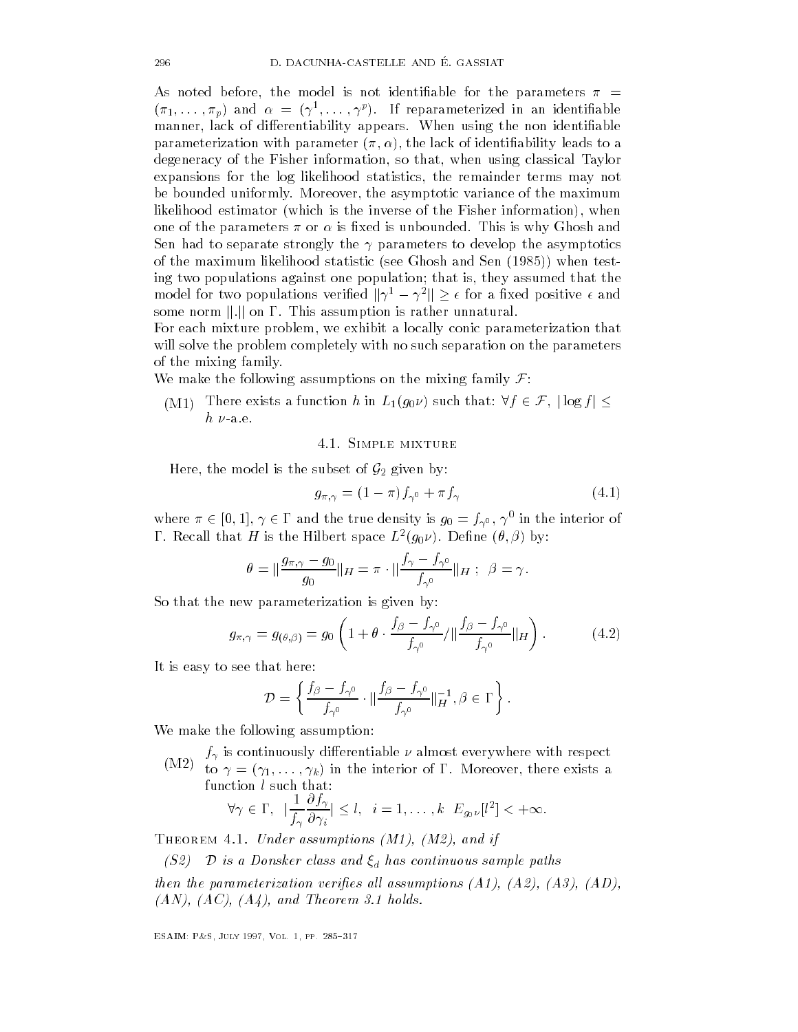As noted before-dimensional is not identified before-dimensional is not identified by  $\mathbb{R}^n$  $\left(\binom{n}{1},\ldots,\binom{n}{p}\right)$  and  $\alpha = \left(\binom{n}{p},\ldots,\binom{n}{p}\right)$ . It reparameterized in an identifiable manner- lack of di
erentiability appears When using the non identiable . The lack of identiability leads to a strategie of identiability leads to a strategie of identiability leads to degeneracy of the Fisher information-that-the Fisher information-that-the-that-the-that-the-that-the-that-theexpansions for the log likelihood statistics- the remainder terms may not be bounded uniformly More over-the asymptotic variance of the maximum maximum maximum maximum maximum maximum likelihood estimator which is the inverse of the Fisher information - when one of the parameters - or  $\mathbb{I}$  is  $\mathbb{I}$  is unbounded This is why Ghosh and This is why Ghosh and This is why Ghosh and This is why Ghosh and This is why Ghosh and This is why Ghosh and This is why Ghosh and This is Sen had to separate strongly the  $\gamma$  parameters to develop the asymptotics of the maximum likelihood statistic see Ghosh and Sen  $\mathcal{N}$ ing two populations against one population that is- they assumed that the model for two populations verified  $\|\gamma^1 - \gamma^2\| \geq \epsilon$  for a fixed positive  $\epsilon$  and some norm  $\|.\|$  on  $\Gamma$ . This assumption is rather unnatural.

For each mixture problem- we exhibit a locally conic parameterization that will solve the problem completely with no such separation on the parameters of the mixing family

We make the following assumptions on the mixing family  $\mathcal{F}$ :

the mixing lamily.<br>We make the following assumptions on the mixing family  ${\cal F} \colon$ <br>(M1) There exists a function  $h$  in  $L_1(g_0 \nu)$  such that:  $\forall f \in {\cal F}, \, |\log f| \leq 1$  $h \nu$ -a.e.

#### Simple mixture

Here, the model is the subset of  $\mathcal{G}_2$  given by:

$$
g_{\pi,\gamma} = (1 - \pi)f_{\gamma^0} + \pi f_\gamma \tag{4.1}
$$

where  $\pi \in [0,1], \gamma \in \Gamma$  and the true density is  $g_0 = f_{\gamma^0}, \, \gamma^0$  in the interior of **1** . Recall that H is the Hilbert space  $L^p(g_0 \nu)$ . Denne  $(\nu, \rho)$  by:

*H* is the Hilbert space 
$$
L^2(g_0 \nu)
$$
. Define  $(\theta, \beta)$  by:  
\n
$$
\theta = \|\frac{g_{\pi, \gamma} - g_0}{g_0}\|_H = \pi \cdot \|\frac{f_\gamma - f_{\gamma^0}}{f_{\gamma^0}}\|_H \; ; \; \; \beta = \gamma.
$$

So that the new parameterization is given by

$$
g_{\pi,\gamma} = g_{(\theta,\beta)} = g_0 \left( 1 + \theta \cdot \frac{f_\beta - f_{\gamma^0}}{f_{\gamma^0}} / \|\frac{f_\beta - f_{\gamma^0}}{f_{\gamma^0}}\|_H \right). \tag{4.2}
$$

It is easy to see that here

nat here:  
\n
$$
\mathcal{D} = \left\{ \frac{f_{\beta} - f_{\gamma^0}}{f_{\gamma^0}} \cdot \|\frac{f_{\beta} - f_{\gamma^0}}{f_{\gamma^0}}\|_{H}^{-1}, \beta \in \Gamma \right\}.
$$

We make the following assumption:

(M2) to  $\gamma = (\gamma_1, \dots, \gamma_k)$  in the interior of  $\Gamma$ . Moreover, there exists a function l such that: function *l* such that:

$$
\forall \gamma \in \Gamma, \ \ |\frac{1}{f_{\gamma}} \frac{\partial f_{\gamma}}{\partial \gamma_i}|\leq l, \ \ i=1,\ldots,k \ \ E_{g_0\nu}[l^2]<+\infty.
$$

Theorem Under assumptions - M and if the state assumptions - M and if the state assumptions - M and if the state assumption of the state and if the state assumptions of the state assumption of the state assumption of the

(S2)  $\mathcal{D}$  is a Donsker class and  $\xi_d$  has continuous sample paths

then the parameterization verifies all assumptions are all assumptions and assumptions are all assumptions and -AN -AC -A and Theorem holds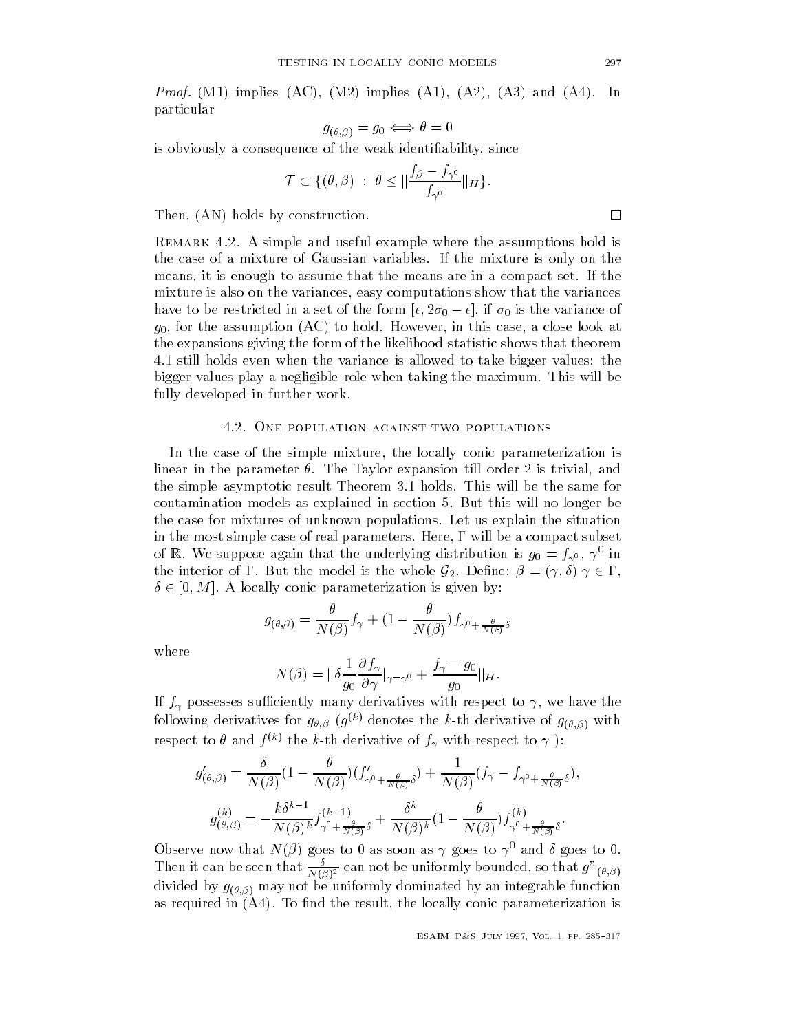In Proof M implies AC - M implies A - A - A and A In particular

$$
g_{(\theta,\beta)}=g_0\Longleftrightarrow \theta=0
$$

is obviously a consequence of the weak identiability- since

uence of the weak identifiability, sin  
\n
$$
\mathcal{T} \subset \{(\theta, \beta) : \theta \leq \|\frac{f_{\beta} - f_{\gamma^0}}{f_{\gamma^0}}\|_{H}\}.
$$

then-distribution of the construction of the construction of the construction of the construction of the construction of the construction of the construction of the construction of the construction of the construction of t

Remark - A simple and useful example where the assumptions hold is the case of a mixture of Gaussian variables If the mixture is only on the means- it is enough to assume that the means are in a compact set If the mixture is also on the variances- easy computations show that the variances have to be restricted in a set of the form  $[\epsilon, 2\sigma_0 - \epsilon],$  if  $\sigma_0$  is the variance of  $g(\theta)$  in this case-to-hold Howeverthe expansions giving the form of the likelihood statistic shows that theorem 4.1 still holds even when the variance is allowed to take bigger values: the bigger values play a negligible role when taking the maximum. This will be fully developed in further work

# 4.2. ONE POPULATION AGAINST TWO POPULATIONS

In the case of the simple mixture- the locally conic parameterization is linear in the parameter The Taylor expansion till order is trivial- and the simple asymptotic result Theorem 3.1 holds. This will be the same for contamination models as explained in section 5. But this will no longer be the case for mixtures of unknown populations Let us explain the situation in the most simple case of real parameters Here- will be a compact subset of  $\mathbb{R}$ . We suppose again that the underlying distribution is  $g_0 = \jmath_{\gamma^0}, \, \gamma$  in the interior of  $\Gamma.$  But the model is the whole  $\mathcal{G}_2.$  Define:  $\beta = (\gamma, \delta)$   $\gamma \in \Gamma,$  $\delta \in [0, M]$ . A locally conic parameterization is given by:

$$
g_{(\theta,\beta)} = \frac{\theta}{N(\beta)} f_{\gamma} + (1 - \frac{\theta}{N(\beta)}) f_{\gamma^0 + \frac{\theta}{N(\beta)}\delta}
$$

where

$$
N(\beta) = \|\delta \frac{1}{g_0} \frac{\partial f_\gamma}{\partial \gamma}\big|_{\gamma = \gamma^0} + \frac{f_\gamma - g_0}{g_0} \|_{H}.
$$

If  $\mathbf{v}$  is the successes such the successes with respect to  $\mathbf{r}$ following derivatives for  $y_{\theta, \beta}$  (g)  $\vee$  defiotes the k-th derivative of  $y_{(\theta, \beta)}$  with respect to  $\theta$  and  $f^{(k)}$  the k-th derivative of  $f_\gamma$  with respect to  $\gamma$  ):

$$
g'_{(\theta,\beta)} = \frac{\delta}{N(\beta)} \left(1 - \frac{\theta}{N(\beta)}\right) \left(f'_{\gamma^0 + \frac{\theta}{N(\beta)}\delta}\right) + \frac{1}{N(\beta)} \left(f_{\gamma} - f_{\gamma^0 + \frac{\theta}{N(\beta)}\delta}\right),
$$

$$
g^{(k)}_{(\theta,\beta)} = -\frac{k\delta^{k-1}}{N(\beta)^k} f^{(k-1)}_{\gamma^0 + \frac{\theta}{N(\beta)}\delta} + \frac{\delta^k}{N(\beta)^k} \left(1 - \frac{\theta}{N(\beta)}\right) f^{(k)}_{\gamma^0 + \frac{\theta}{N(\beta)}\delta}.
$$

Observe now that  $N(\beta)$  goes to 0 as soon as  $\gamma$  goes to  $\gamma^0$  and  $\delta$  goes to 0. Then it can be seen that  $\frac{N(\beta)^2}{N(\beta)^2}$  can not be uniformly bounded, so that  $g_{-(\theta,\beta)}$ are the state  $\mathcal{G}(\mathcal{G},\mathcal{G})$  . The unit best contribution function function  $\mathcal{G}$  and  $\mathcal{G}(\mathcal{G},\mathcal{G})$ as required in  $\{r=r\}$  . The india the result-integration parameterization is the result of  $\alpha$ 

 $\Box$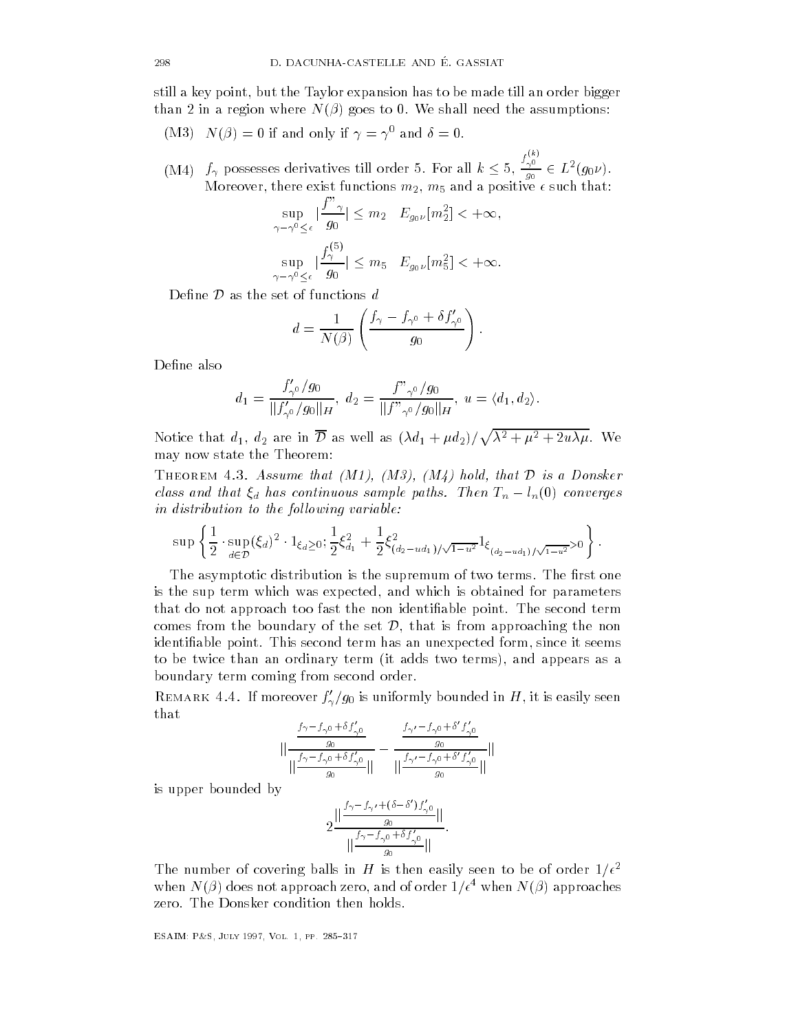still a key point, but the Taylor expansion has to be made till an order bigger still a key point-beneficial and the state of the state of the state of the state of the state of the state of but the Taylor expansion has to be made till an order bigger than 2 in a region where  $N(\beta)$  goes to 0. We shall need the assumptions:

(iver  $\alpha$  )  $\alpha$  ( $\beta$ ) = 0 if and only if  $\gamma$  =  $\gamma$  and  $\theta$  = 0.

(M4)  $f_{\gamma}$  possesses derivatives till order 5. For all  $k \leq 5$ ,  $\frac{f_{\gamma}}{g_{\gamma}}$  $\frac{f_{\gamma 0}^{\chi_0}}{g_0} \in L^2(g_0 \nu)$  . , which is the exist functions may be a positive of  $\mathbf{1}$ unctions

$$
\sup_{\gamma - \gamma^0 \le \epsilon} |\frac{f''_{\gamma}}{g_0}| \le m_2 \quad E_{g_0\nu}[m_2^2] < +\infty,
$$
  

$$
\sup_{\gamma - \gamma^0 \le \epsilon} |\frac{f_{\gamma}^{(5)}}{g_0}| \le m_5 \quad E_{g_0\nu}[m_5^2] < +\infty.
$$

Define  $\mathcal D$  as the set of functions  $d$ 

$$
d = \frac{1}{N(\beta)} \left( \frac{f_{\gamma} - f_{\gamma^0} + \delta f'_{\gamma^0}}{g_0} \right).
$$

$$
d_1 = \frac{f'_{\gamma^0}/g_0}{\|f'_{\gamma^0}/g_0\|_H}, d_2 = \frac{f''_{\gamma^0}/g_0}{\|f''_{\gamma^0}/g_0\|_H}, u = \langle d_1, d_2 \rangle.
$$

Notice that  $d_1, d_2$  are in  $\overline{\mathcal{D}}$  as well as  $(\lambda d_1 + \mu d_2)/\sqrt{\lambda^2 + \mu^2 + 2u\lambda\mu}$ . We may now state the Theorem

THEOREM 4.3. Assume that  $(M1)$ ,  $(M3)$ ,  $(M4)$  hold, that D is a Donsker class and that  $\xi_d$  has continuous sample paths. Then  $T_n - l_n(0)$  converges in distribution to the following variable

$$
\sup \left\{ \frac{1}{2} \cdot \sup_{d \in \mathcal{D}} (\xi_d)^2 \cdot 1_{\xi_d \ge 0}; \frac{1}{2} \xi_{d_1}^2 + \frac{1}{2} \xi_{(d_2 - ud_1)/\sqrt{1-u^2}}^2 1_{\xi_{(d_2 - ud_1)/\sqrt{1-u^2}} > 0} \right\}.
$$

The asymptotic distribution is the supremum of two terms. The first one is the sup term which was expected- and which is obtained for parameters that do not approach too fast the non identifiable point. The second term comes from the boundary of the set  $\mathcal{D}$ , that is from approaching the non identiable point This second term has an unexpected form- since it seems to be twice than an ordinary term in  $\mathbf{f}$  and appears as a and appears as a appears as a appears as a appears as a appears as a appears as a appears as a set of  $\mathbf{f}$ boundary term coming from second order

REMARK 4.4. If interedver  $f_{\gamma}/f_0$  is unflormly bounded in  $H$ , it is easily seen that

$$
\left\| \frac{\frac{f_{\gamma} - f_{\gamma 0} + \delta f_{\gamma 0}'}{g_0}}{\left\| \frac{f_{\gamma} - f_{\gamma 0} + \delta f_{\gamma 0}'}{g_0} \right\|} - \frac{\frac{f_{\gamma'} - f_{\gamma 0} + \delta' f_{\gamma 0}'}{g_0}}{\left\| \frac{f_{\gamma'} - f_{\gamma 0} + \delta' f_{\gamma 0}'}{g_0} \right\|} \right\|
$$

is upper bounded by

$$
2\frac{\Vert \frac{f_{\gamma}-f_{\gamma'}+(\delta-\delta')f'_{\gamma^0}}{g_0}\Vert}{\Vert \frac{f_{\gamma}-f_{\gamma^0}+\delta f'_{\gamma^0}}{g_0}\Vert}.
$$

The number of covering balls in H is then easily seen to be of order  $1/\epsilon^2$ when  $N(\rho)$  does not approach zero, and of order  $1/\epsilon$  -when  $N(\rho)$  approaches zero. The Donsker condition then holds.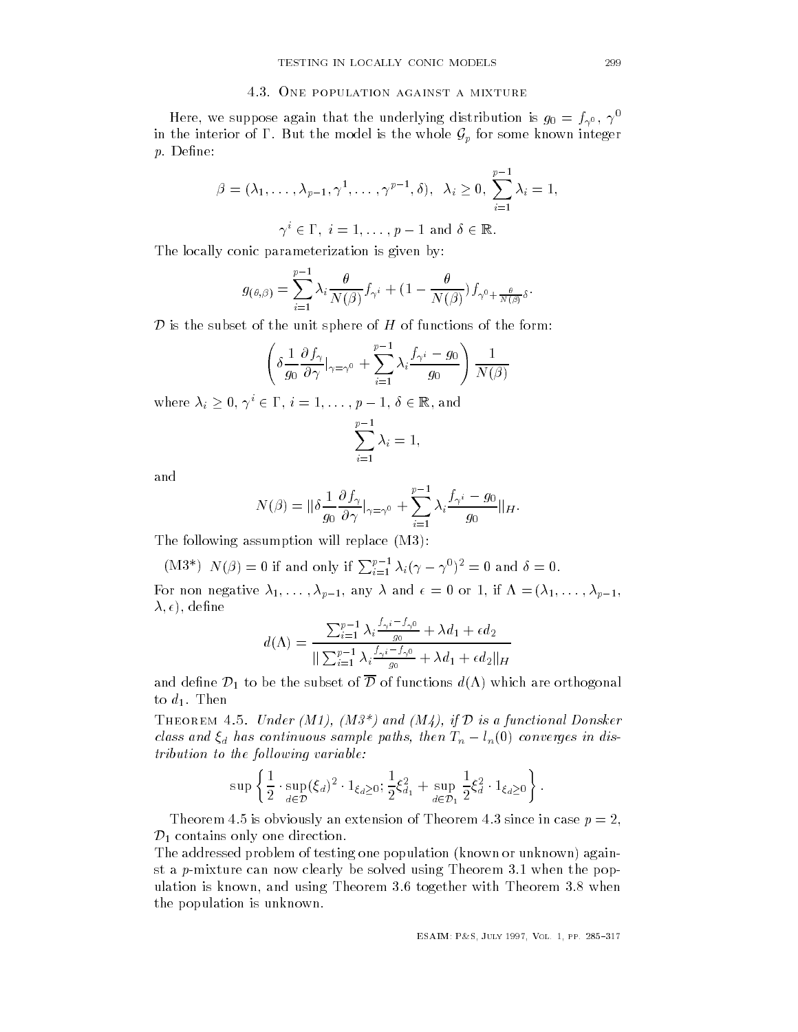#### 4.3. ONE POPULATION AGAINST A MIXTURE

Here, we suppose again that the underlying distribution is  $g_0 = f_{\gamma^0}, \gamma$ in the interior of  $\Gamma$ . But the model is the whole  $\mathcal{G}_p$  for some known integer  $p$ . Define:

$$
\beta = (\lambda_1, \ldots, \lambda_{p-1}, \gamma^1, \ldots, \gamma^{p-1}, \delta), \lambda_i \ge 0, \sum_{i=1}^{p-1} \lambda_i = 1,
$$

 $\gamma^i \in \Gamma, \ i=1,\ldots,p-1 \text{ and } \delta \in \mathbb{R}$ 

The locally conic parameterization is given by

$$
g_{(\theta,\beta)} = \sum_{i=1}^{p-1} \lambda_i \frac{\theta}{N(\beta)} f_{\gamma^i} + (1 - \frac{\theta}{N(\beta)}) f_{\gamma^0 + \frac{\theta}{N(\beta)} \delta}.
$$

**Distances** is the subset of the subset of the unit sphere of the unit sphere of the functions of the form of the form

$$
\left(\delta \frac{1}{g_0} \frac{\partial f_\gamma}{\partial \gamma}\big|_{\gamma=\gamma^0} + \sum_{i=1}^{p-1} \lambda_i \frac{f_{\gamma^i} - g_0}{g_0}\right) \frac{1}{N(\beta)}
$$

where  $\lambda_i \geq 0, \, \gamma^i \in \Gamma, \, i=1,\ldots,p-1, \, \delta \in \mathbb{R},$  and

$$
\sum_{i=1}^{p-1} \lambda_i = 1,
$$

$$
N(\beta) = \|\delta \frac{1}{g_0} \frac{\partial f_\gamma}{\partial \gamma}\big|_{\gamma = \gamma^0} + \sum_{i=1}^{p-1} \lambda_i \frac{f_{\gamma^i} - g_0}{g_0} \|_{H}.
$$

The following assumption will replace  $(M3)$ :

(M3\*) 
$$
N(\beta) = 0
$$
 if and only if  $\sum_{i=1}^{p-1} \lambda_i (\gamma - \gamma^0)^2 = 0$  and  $\delta = 0$ .

 $\mathcal{O}$  if  $\mathcal{O}$  if  $\mathcal{O}$  if  $\mathcal{O}$  if  $\mathcal{O}$  if  $\mathcal{O}$  if  $\mathcal{O}$  if  $\mathcal{O}$  if  $\mathcal{O}$  if  $\mathcal{O}$  if  $\mathcal{O}$  if  $\mathcal{O}$  if  $\mathcal{O}$  if  $\mathcal{O}$  if  $\mathcal{O}$  if  $\mathcal{O}$  if  $\mathcal{O}$  if  $\mathcal{O}$  if  $\mathcal{$  - dene

$$
d(\Lambda) = \frac{\sum_{i=1}^{p-1} \lambda_i \frac{f_{\gamma^i} - f_{\gamma^0}}{g_0} + \lambda d_1 + \epsilon d_2}{\|\sum_{i=1}^{p-1} \lambda_i \frac{f_{\gamma^i} - f_{\gamma^0}}{g_0} + \lambda d_1 + \epsilon d_2\|_H}
$$

and define  $\mathcal{D}_1$  to be the subset of  $\overline{\mathcal{D}}$  of functions  $d(\Lambda)$  which are orthogonal to  $d_1$ . Then

THEOREM 4.5. Under  $(M1)$ ,  $(M3^*)$  and  $(M4)$ , if  $\mathcal D$  is a functional Donsker class and  $\xi_d$  has continuous sample paths, then  $T_n - l_n(0)$  converges in dis $tribution to the following variable:$ 

$$
\sup \left\{ \frac{1}{2} \cdot \sup_{d \in \mathcal{D}} (\xi_d)^2 \cdot 1_{\xi_d \ge 0}; \frac{1}{2} \xi_{d_1}^2 + \sup_{d \in \mathcal{D}_1} \frac{1}{2} \xi_d^2 \cdot 1_{\xi_d \ge 0} \right\}.
$$

Theorem 4.5 is obviously an extension of Theorem 4.3 since in case  $p = 2$ ,  $\mathcal{D}_1$  contains only one direction.

The addressed problem of testing one population (known or unknown) against a p-mixture can now clearly be solved using Theorem 3.1 when the pop- $\mathcal{U}$ the population is unknown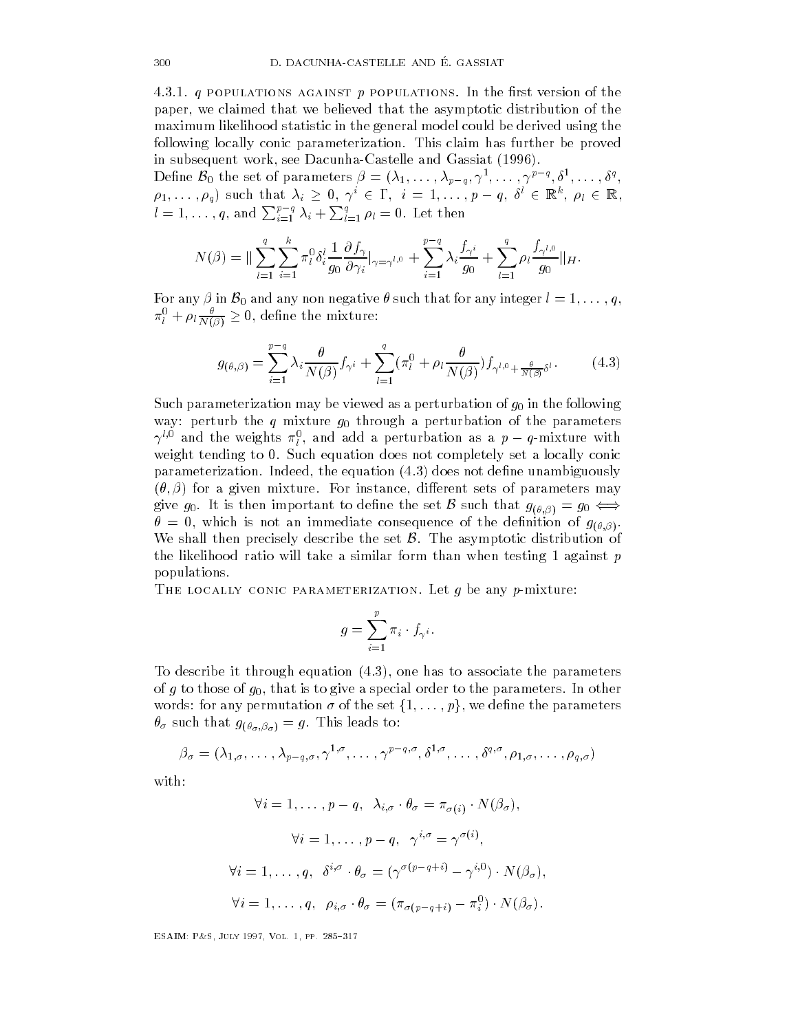4.3.1.  $q$  populations against p populations. In the first version of the paper- we claimed that we believed that the asymptotic distribution of the maximum likelihood statistic in the general model could be derived using the following locally conic parameterization. This claim has further be proved in subsequent work-subsequent work-subsequent work-subsequent work-subsequent work-subsequent work-subsequent w

Define  $\mathcal{B}_0$  the set of parameters  $\beta = (\lambda_1, \ldots, \lambda_{p-q}, \gamma^1, \ldots, \gamma^{p-q}, \delta^1, \ldots, \delta^q, \gamma^p)$  $\rho_1,\ldots,\rho_q$  such that  $\lambda_i \geq 0, \gamma^i \in \Gamma, i = 1,\ldots,p-q, \delta^i \in \mathbb{R}^k, \rho_l \in \mathbb{R},$  $l=1,\ldots,q,$  and  $\sum_{i=1}^{p-q}\lambda_i+\sum_{l=1}^{q}\rho_l=0.$  Let then

$$
N(\beta) = \|\sum_{l=1}^{q} \sum_{i=1}^{k} \pi_{l}^{0} \delta_{i}^{l} \frac{1}{g_{0}} \frac{\partial f_{\gamma}}{\partial \gamma_{i}}|_{\gamma=\gamma^{l,0}} + \sum_{i=1}^{p-q} \lambda_{i} \frac{f_{\gamma^{i}}}{g_{0}} + \sum_{l=1}^{q} \rho_{l} \frac{f_{\gamma^{l,0}}}{g_{0}} \|_{H}.
$$

For any  $\beta$  in  $\mathcal{B}_0$  and any non negative  $\theta$  such that for any integer  $l = 1, \ldots, q$ ,  $\pi_l^0 + \rho_l \frac{\theta}{N(\beta)} \geq 0,$  define the mixture:

$$
g_{(\theta,\beta)} = \sum_{i=1}^{p-q} \lambda_i \frac{\theta}{N(\beta)} f_{\gamma^i} + \sum_{l=1}^q (\pi_l^0 + \rho_l \frac{\theta}{N(\beta)}) f_{\gamma^{l,0} + \frac{\theta}{N(\beta)} \delta^l}.
$$
 (4.3)

Such parameterization may be viewed as a perturbation of  $g_0$  in the following way: perturb the q mixture  $q_0$  through a perturbation of the parameters  $\gamma^{l,0}$  and the weights  $\pi^0_l$ , and add a perturbation as a  $p-q$ -mixture with weight tending to 0. Such equation does not completely set a locally conic parameterization Indeed- the equation does not dene unambiguously for a given mixture For instance- di
erent sets of parameters may give  $g_0.$  It is then important to define the set  ${\cal B}$  such that  $g_{(\theta, \beta)} = g_0 \Longleftrightarrow$  $\mathbf{w}$  is not an immediate consequence of the density of the density  $\mathbf{w}$ We shall then precisely describe the set  $\beta$ . The asymptotic distribution of the likelihood ratio will take a similar form than when testing 1 against  $p$ populations

THE LOCALLY CONIC PARAMETERIZATION. Let  $g$  be any  $p$ -mixture:

$$
g=\sum_{i=1}^p\pi_i\cdot f_{\gamma^i}.
$$

To describe it through equation  $\mathbf{r}$  to associate the parameters  $\mathbf{r}$ of to the is to give a special order to the parameters in our to the parameters in other to the parameters in o words: for any permutation  $\sigma$  of the set  $\{1,\ldots,p\}$ , we define the parameters  $J(\nu_{\sigma},\nu_{\sigma})$  and  $J(\nu_{\sigma},\nu_{\sigma})$ 

$$
\beta_{\sigma} = (\lambda_{1,\sigma}, \ldots, \lambda_{p-q,\sigma}, \gamma^{1,\sigma}, \ldots, \gamma^{p-q,\sigma}, \delta^{1,\sigma}, \ldots, \delta^{q,\sigma}, \rho_{1,\sigma}, \ldots, \rho_{q,\sigma})
$$

with:

$$
\forall i = 1, ..., p - q, \quad \lambda_{i,\sigma} \cdot \theta_{\sigma} = \pi_{\sigma(i)} \cdot N(\beta_{\sigma}),
$$

$$
\forall i = 1, ..., p - q, \quad \gamma^{i,\sigma} = \gamma^{\sigma(i)},
$$

$$
\forall i = 1, ..., q, \quad \delta^{i,\sigma} \cdot \theta_{\sigma} = (\gamma^{\sigma(p-q+i)} - \gamma^{i,0}) \cdot N(\beta_{\sigma}),
$$

$$
\forall i = 1, ..., q, \quad \rho_{i,\sigma} \cdot \theta_{\sigma} = (\pi_{\sigma(p-q+i)} - \pi_i^0) \cdot N(\beta_{\sigma}).
$$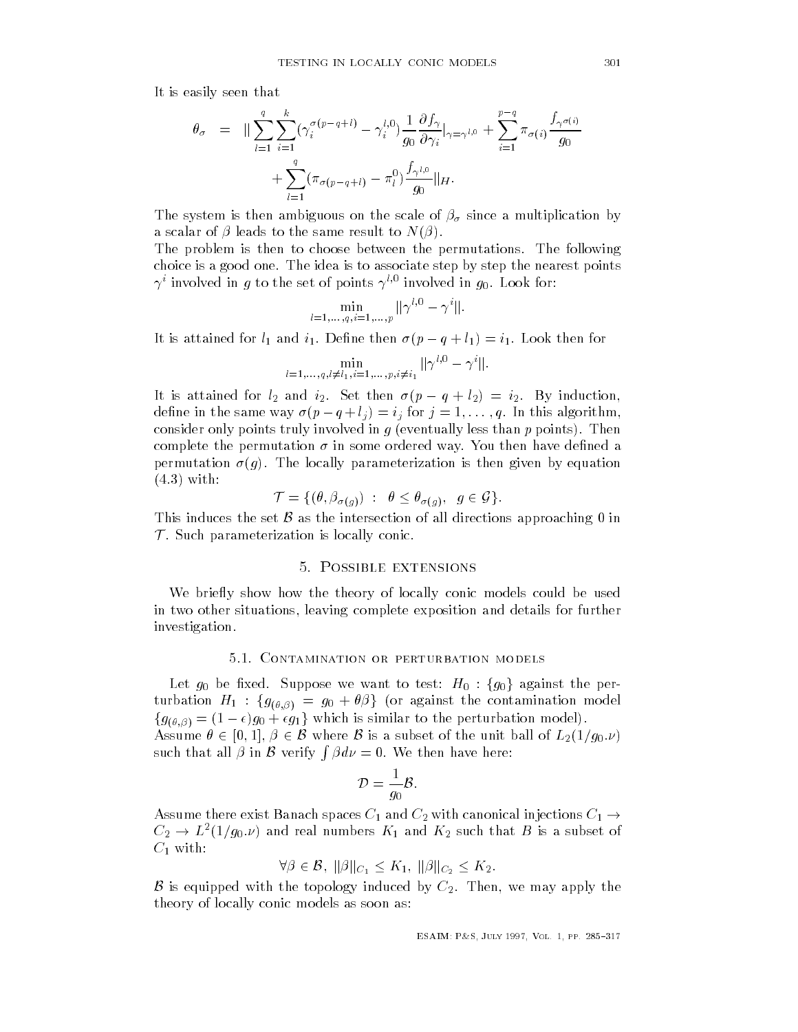It is easily seen that It is easy to be a set of the set of the set of the set of the set of the set of the set of the set of the set

$$
\theta_{\sigma} = \|\sum_{l=1}^{q} \sum_{i=1}^{k} (\gamma_i^{\sigma(p-q+l)} - \gamma_i^{l,0}) \frac{1}{g_0} \frac{\partial f_{\gamma}}{\partial \gamma_i}|_{\gamma=\gamma^{l,0}} + \sum_{i=1}^{p-q} \pi_{\sigma(i)} \frac{f_{\gamma^{\sigma(i)}}}{g_0} + \sum_{l=1}^{q} (\pi_{\sigma(p-q+l)} - \pi_l^0) \frac{f_{\gamma^{l,0}}}{g_0} \|_{H}.
$$

The system is then ambiguous on the scale of  $\beta_{\sigma}$  since a multiplication by a scalar of  $\beta$  leads to the same result to  $N(\beta)$ .

The problem is then to choose between the permutations. The following choice is a good one The idea is to associate step by step the nearest points  $\gamma$  involved in  $g$  to the set of points  $\gamma$  - involved in  $g_0$ . Look for:

$$
\min_{l=1,\dots,q,i=1,\dots,p} \|\gamma^{l,0} - \gamma^i\|.
$$

It is attained for  $l_1$  and  $i_1$ . Define then  $\sigma (p - q + l_1) = i_1$ . Look then for

$$
\min_{l=1,\ldots,q, l\neq l_1, i=1,\ldots,p, i\neq i_1} \|\gamma^{l,0}-\gamma^i\|.
$$

It is attained for  $l_2$  and  $i_2$ . Set then  $\sigma (p - q + l_2) = i_2$ . By induction, define in the same way  $\sigma(p-q+l_j)=i_j$  for  $j=1,\ldots,q$ . In this algorithm, consider only points truly involved in  $g$  (eventually less than  $p$  points). Then complete the permutation  $\sigma$  in some ordered way. You then have defined a permutation given by equation given by equation is the local local distribution is the set of  $\mathbf{u}$  $(4.3)$  with: hen giv $\mathcal{G}\}$ .

$$
\mathcal{T} = \{(\theta, \beta_{\sigma(g)}) \ : \ \theta \leq \theta_{\sigma(g)}, \ \ g \in \mathcal{G}\}.
$$

This induces the set  $\beta$  as the intersection of all directions approaching 0 in **The Company of the Company** Such parameterization is locally conic

# 5. POSSIBLE EXTENSIONS

We briefly show how the theory of locally conic models could be used in two other situations- leaving complete exposition and details for further investigation

#### 5.1. CONTAMINATION OR PERTURBATION MODELS

Let  $g_0$  be fixed. Suppose we want to test:  $H_0$  :  $\{g_0\}$  against the perturbation  $H_1$  :  $\{g_{(\theta,\beta)} = g_0 + \theta\beta\}$  (or against the contamination model turbation  $H_1$  :  $\{g_{(\theta,\beta)} = g_0 + \theta\beta\}$  (or against the contamination model).<br> $\{g_{(\theta,\beta)} = (1 - \epsilon)g_0 + \epsilon g_1\}$  which is similar to the perturbation model).

Assume  $\theta \in [0,1], \beta \in \mathcal{B}$  where  $\mathcal B$  is a subset of the unit ball of  $L_2(1/g_0.\nu)$ such that all  $\beta$  in  $\beta$  verify  $\int \beta d\nu = 0$ . We then have here:

$$
\mathcal{D} = \frac{1}{g_0} \mathcal{B}.
$$

Assume there exist Banach spaces  $C_1$  and  $C_2$  with canonical injections  $C_1 \rightarrow$  $C_2 \rightarrow L^2(1/g_0.\nu)$  and real numbers  $K_1$  and  $K_2$  such that  $B$  is a subset of  $C_1$  with: l numbers  $K_1$  and  $K_2$ <br>B,  $\|\beta\|_{C_1} \le K_1, \ \|\beta\|_{C_2}$ 

$$
\forall \beta \in \mathcal{B}, \ ||\beta||_{C_1} \leq K_1, \ ||\beta||_{C_2} \leq K_2.
$$

 is equipped with the topology induced by C Then- we may apply the theory of locally conic models as soon as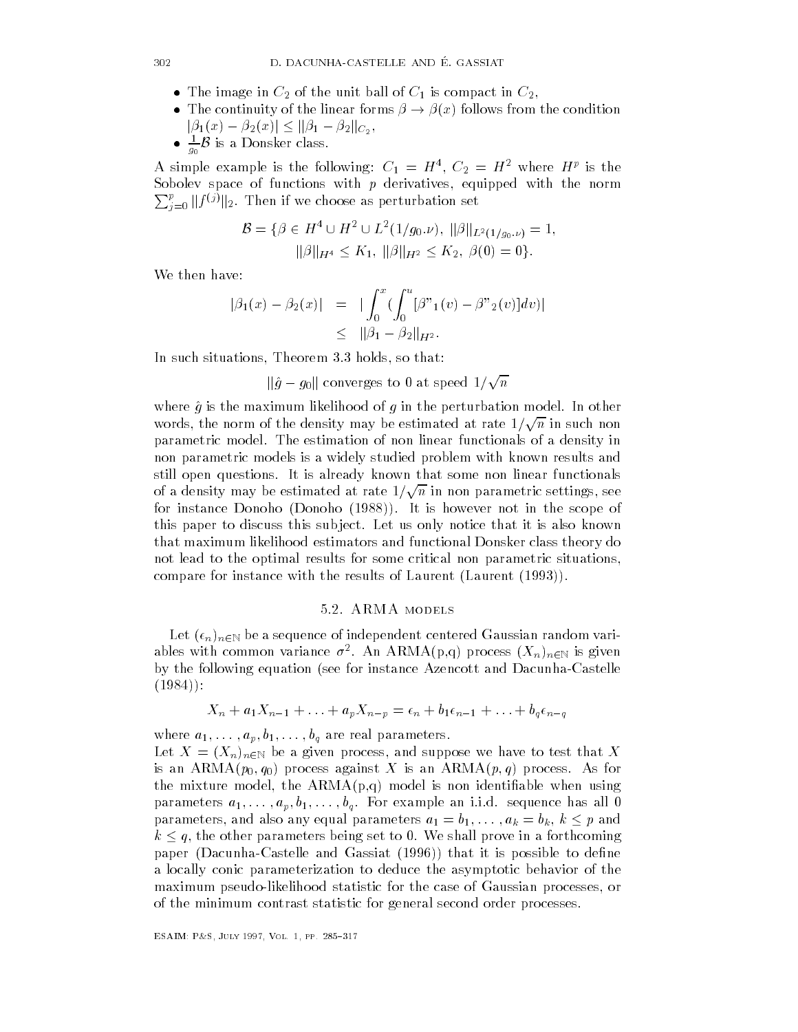- The image in C of the unit ball of  $\mathbf{r}$  is compact in  $\mathbf{r}$  is compact in C- is compact in C- is compact in C- is compact in C- is compact in  $\mathbf{r}$
- The continuity of the linear forms  $\beta \rightarrow \beta(x)$  follows from the condition  $|\beta_1(x) - \beta_2(x)| \leq ||\beta_1 - \beta_2||_{C_2},$
- $\frac{1}{g_0}\mathcal{B}$  is a Donsker class.

A simple example is the following.  $C_1 = H_1, C_2 = H_2$  where  $H^T_1$  is the Sobolev space of functions with p derivatives- equipped with the norm  $\sum_{j=0}^p \|f^{(j)}\|_2$ . Then if we choose as perturbation set

$$
\mathcal{B} = \{ \beta \in H^4 \cup H^2 \cup L^2(1/g_0.\nu), ||\beta||_{L^2(1/g_0.\nu)} = 1, ||\beta||_{H^4} \le K_1, ||\beta||_{H^2} \le K_2, \beta(0) = 0 \}.
$$

We then have

$$
|\beta_1(x) - \beta_2(x)| = |\int_0^x (\int_0^u [\beta^*_{1}(v) - \beta^*_{2}(v)] dv)|
$$
  
\$\leq\$  $||\beta_1 - \beta_2||_{H^2}.$ 

In such situations-Theorem International Communication of the communication of the communication of the communication of the communication of the communication of the communication of the communication of the communication of the communicati

 $\|\hat{g}-g_0\|$  converges to 0 at speed  $1/\sqrt{n}$ 

where  $\hat{g}$  is the maximum likelihood of g in the perturbation model. In other where *y* is the maximum intention of *y* in the perturbation model. In other<br>words, the norm of the density may be estimated at rate  $1/\sqrt{n}$  in such non parametric model The estimation of non linear functionals of a density in non parametric models is a widely studied problem with known results and still open questions It is already known that some non linear functionals  $\frac{1}{2}$  of a density may be estimated at rate  $1/\sqrt{n}$  in non parametric settings, see  $\mathbf{f}$  is the scope of  $\mathbf{f}$  is however not in the scope of intervals of intervals of  $\mathbf{f}$ this paper to discuss this sub ject Let us only notice that it is also known that maximum likelihood estimators and functional Donsker class theory do not lead to the optimal results for some critical non parametric situationscompare for instance with the results of Laurent (Laurent  $(1993)$ ).

#### 5.2. ARMA MODELS

Let  $(\epsilon_n)_{n\in\mathbb{N}}$  be a sequence of independent centered Gaussian random variables with common variance  $\sigma$  . An ARMA(p,q) process  $(A_n)_{n\in\mathbb{N}}$  is given by the following equation (see for instance Azencott and Dacunha-Castelle 

$$
X_n + a_1 X_{n-1} + \ldots + a_p X_{n-p} = \epsilon_n + b_1 \epsilon_{n-1} + \ldots + b_q \epsilon_{n-q}
$$

where  $a_1, \ldots, a_p, b_1, \ldots, b_q$  are real parameters.

Let <sup>X</sup> Xn nN be a given process- and suppose we have to test that X is an ARMA $(p_0, q_0)$  process against X is an ARMA $(p, q)$  process. As for  $\mathbf{r}$  model-model-model-model-model-model-model-model-model-model-model-model-model-model-model-model-model-model-model-model-model-model-model-model-model-model-model-model-model-model-model-model-model-model-model-mo parameters  $a_1, \ldots, a_p, b_1, \ldots, b_q$ . For example an i.i.d. sequence has all 0 parameters, and also any equal parameters  $a_1 = b_1, \ldots, a_k = b_k, k \leq p$  and  $k \leq q$ , the other parameters being set to 0. We shall prove in a forthcoming paper (Dacunha-Castelle and Gassiat  $(1996)$ ) that it is possible to define a locally conic parameterization to deduce the asymptotic behavior of the maximum pseudolikelihood statistic for the case of Gaussian processes- or of the minimum contrast statistic for general second order processes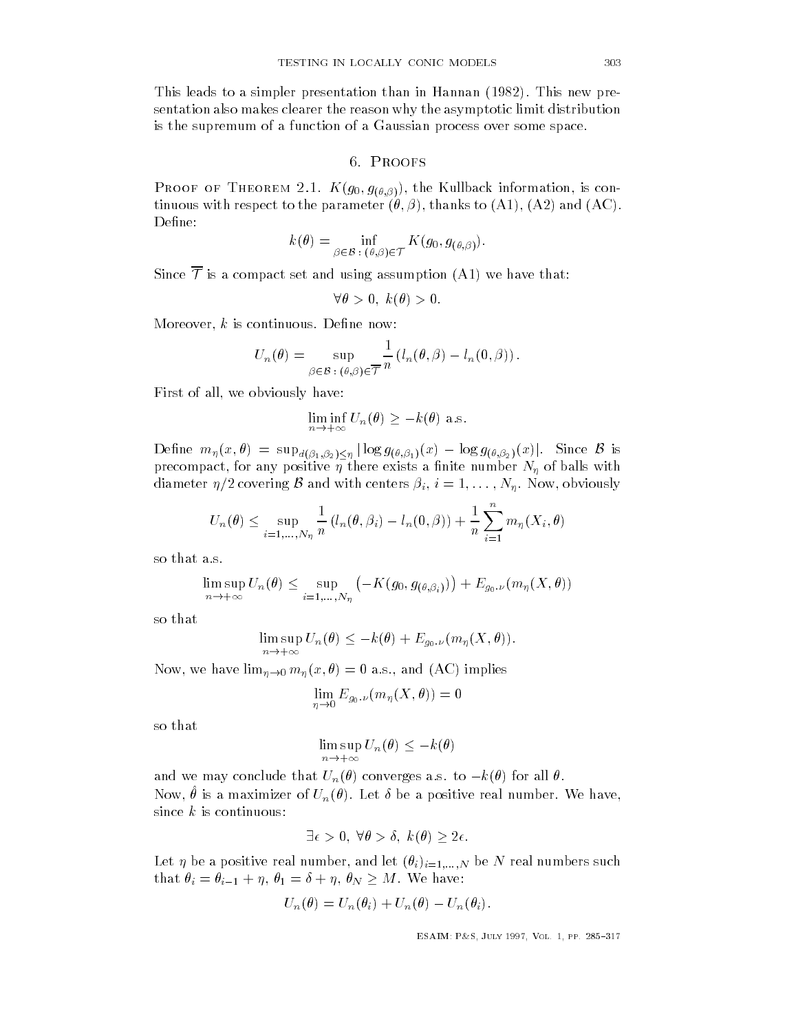This leads to a simple presentation than in Hannan in Hannan in Hannan in Hannan in Hannan in Hannan in Hannan in H sentation also makes clearer the reason why the asymptotic limit distribution is the supremum of a function of a Gaussian process over some space

#### 6. PROOFS

 $\sqrt{a}$  of  $\sqrt{a}$  ( $\sqrt{b}$ ) is considered in formationtinuous with respect to  $\mathbf{r}$  and  $\mathbf{r}$  and  $\mathbf{r}$  and  $\mathbf{r}$  and  $\mathbf{r}$ Define:

$$
k(\theta) = \inf_{\beta \in \mathcal{B} \; : \; (\theta, \beta) \in \mathcal{T}} K(g_0, g_{(\theta, \beta)}).
$$

Since  $\overline{\mathcal{T}}$  is a compact set and using assumption (A1) we have that:

$$
\forall \theta > 0, \ k(\theta) > 0.
$$

More over-the international continuous Dene now the continuous Dene now the continuous Dene now the continuous

$$
U_n(\theta) = \sup_{\beta \in \mathcal{B} \; : \; (\theta,\beta) \in \overline{\mathcal{T}}} \frac{1}{n} \left( l_n(\theta,\beta) - l_n(0,\beta) \right).
$$

First of all-based of all-based of all-based of all-based of all-based of all-based of all-based of all-based o

have:  
\n
$$
\liminf_{n \to +\infty} U_n(\theta) \geq -k(\theta)
$$
 a.s.

Define  $m_\eta(x,\theta) = \sup_{d(\beta_1,\beta_2)\leq \eta} |\log g_{(\theta,\beta_1)}(x) - \log g_{(\theta,\beta_2)}(x)|.$  Since  ${\mathcal B}$  is precompact- for any positive there exists a nite number N of balls with diameter  $\eta/2$  covering  $\mathcal B$  and with centers  $\beta_i$ ,  $i=1,\ldots,N_n$ . Now, obviously

$$
U_n(\theta) \leq \sup_{i=1,\ldots,N_\eta} \frac{1}{n} \left( l_n(\theta,\beta_i) - l_n(0,\beta) \right) + \frac{1}{n} \sum_{i=1}^n m_\eta(X_i,\theta)
$$

so that a.s.

$$
\limsup_{n \to +\infty} U_n(\theta) \le \sup_{i=1,\dots,N_\eta} \left( -K(g_0, g_{(\theta,\beta_i)}) \right) + E_{g_0,\nu}(m_\eta(X,\theta))
$$

so that

$$
\limsup_{n \to +\infty} U_n(\theta) \leq -k(\theta) + E_{g_0,\nu}(m_\eta(X,\theta)).
$$

 $\mu \rightarrow 0$  in  $\mu \rightarrow 0$  in  $\mu \rightarrow 0$  in  $\mu \rightarrow 0$  in  $\mu \rightarrow 0$  in  $\mu \rightarrow 0$  in  $\mu \rightarrow 0$  in  $\mu \rightarrow 0$ 

$$
\lim_{\eta\to 0}E_{g_0,\nu}(m_\eta(X,\theta))=0
$$

$$
\limsup_{n \to +\infty} U_n(\theta) \leq -k(\theta)
$$

and we may conclude that  $U_n(\theta)$  converges a.s. to  $-k(\theta)$  for all  $\theta$ . row,  $\sigma$  is a maximizer of  $\sigma_n(\sigma)$ . Let  $\sigma$  be a positive real number. We have, since  $k$  is continuous:

$$
\exists \epsilon > 0, \ \forall \theta > \delta, \ k(\theta) \geq 2\epsilon.
$$

Let in and let if it is a positive real number of  $\mathcal{N}$  real numbers such a such as  $\mathcal{N}$ that  $\theta_i = \theta_{i-1} + \eta$ ,  $\theta_1 = \delta + \eta$ ,  $\theta_N \geq M$ . We have:

$$
U_n(\theta) = U_n(\theta_i) + U_n(\theta) - U_n(\theta_i).
$$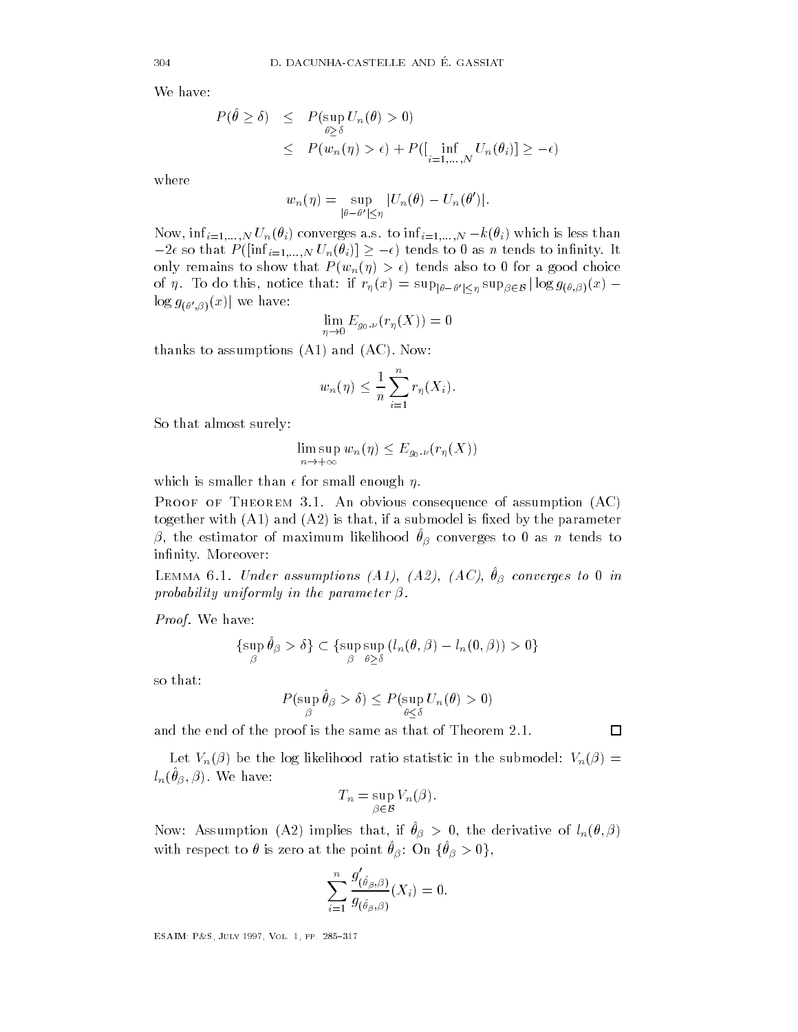We have:

$$
P(\hat{\theta} \ge \delta) \le P(\sup_{\theta \ge \delta} U_n(\theta) > 0)
$$
  
\$\le P(w\_n(\eta) > \epsilon) + P([\inf\_{i=1,...,N} U\_n(\theta\_i)] \ge -\epsilon)\$

where

$$
w_n(\eta) = \sup_{|\theta-\theta'| \leq \eta} |U_n(\theta) - U_n(\theta')|.
$$

Now,  $\inf_{i=1,...,N} U_n(\theta_i)$  converges a.s. to  $\inf_{i=1,...,N} -k(\theta_i)$  which is less than  $-2\epsilon$  so that  $P(\left[\inf_{i=1,...,N} U\right]$ onverges a.s. to  $\inf_{i=1,...,N} -k(\theta_i)$  which is less than<br>  $N U_n(\theta_i) \ge -\epsilon$  tends to 0 as *n* tends to infinity. It only remains to show that  $P(w_n(\eta) > \epsilon)$  tends also to 0 for a good choice of  $\eta$ . To do this, notice that: if  $r_{\eta}(x) = \sup_{|\theta-\theta'|<\eta} \sup_{\beta \in \mathcal{B}} |\log g_{(\theta,\beta)}(x) \log g_{(\theta',\beta)}(x)$  we have:

$$
\lim_{\eta \to 0} E_{g_0,\nu}(r_{\eta}(X)) = 0
$$

thanks to assumptions  $(A1)$  and  $(AC)$ . Now:

$$
w_n(\eta) \leq \frac{1}{n} \sum_{i=1}^n r_{\eta}(X_i).
$$

So that almost surely

$$
\limsup_{n \to +\infty} w_n(\eta) \leq E_{g_0,\nu}(r_\eta(X))
$$

which is smaller than  $\epsilon$  for small enough  $\eta$ .

PROOF OF THEOREM 3.1. An obvious consequence of assumption  $(AC)$ to and a submodel is that-different intervals of the parameter  $\mathcal{A}$  $\rho$ , the estimator of maximum intendou  $v_{\beta}$  converges to 0 as n tenus to infinity. Moreover:

 $\text{Lemma 6.1.}$  Chact assumptions  $\text{[A1]}, \text{[A2]}, \text{[AU]}, \text{[B}$  converges to  $\text{I}$  in probability uniformly in the parameter  $\beta$ .

Proof. We have:

$$
\{\sup_{\beta} \hat{\theta}_{\beta} > \delta\} \subset \{\sup_{\beta} \sup_{\theta \ge \delta} (l_n(\theta, \beta) - l_n(0, \beta)) > 0\}
$$

so that

$$
P(\sup_{\beta} \hat{\theta}_{\beta} > \delta) \le P(\sup_{\theta \le \delta} U_n(\theta) > 0)
$$

and the end of the proof is the same as that of Theorem 2.1.

Let  $V_n(\beta)$  be the log likelihood ratio statistic in the submodel:  $V_n(\beta)$  =  $\iota_n(\nu_\beta, \rho)$ . we have.

$$
T_n = \sup_{\beta \in \mathcal{B}} V_n(\beta).
$$

row. Assumption (Az) implies that, if  $v_{\beta} > 0$ , the derivative of  $i_n(v, \beta)$ with respect to  $\theta$  is zero at the point  $\theta_{\beta}$ : On  $\{\theta_{\beta}>0\},$ 

$$
\sum_{i=1}^n \frac{g_{(\hat\theta_\beta,\beta)}'}{g_{(\hat\theta_\beta,\beta)}}(X_i)=0.
$$

$$
\Box
$$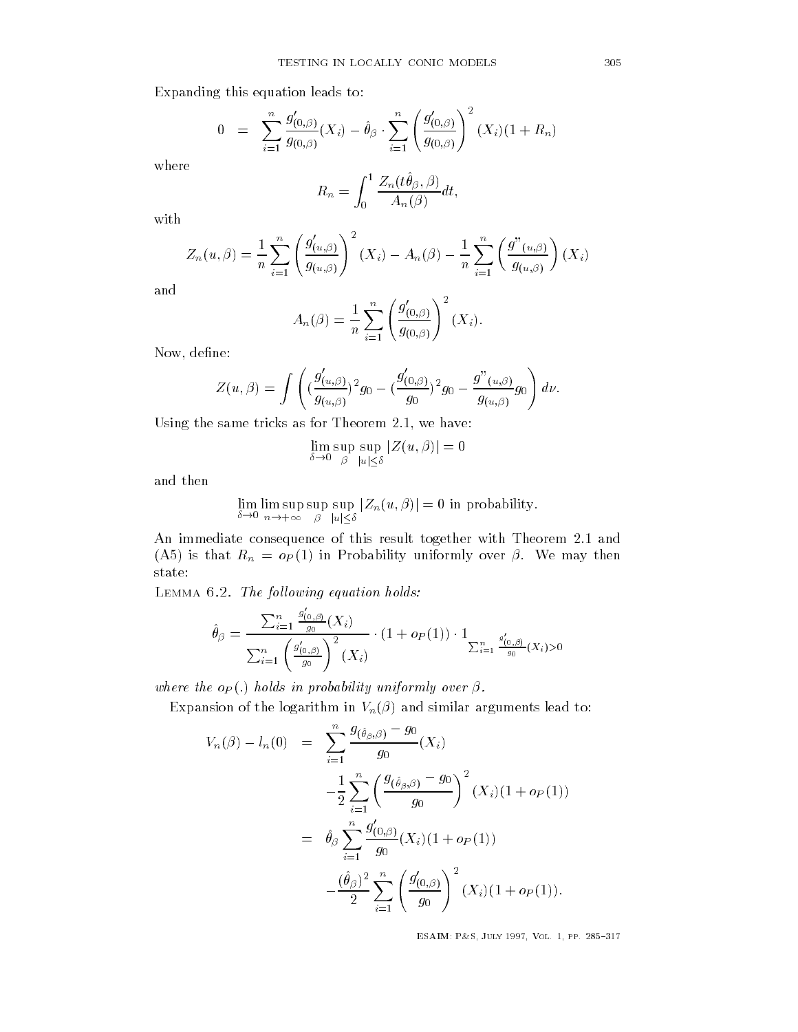Expanding this equation leads to

$$
0 = \sum_{i=1}^{n} \frac{g'_{(0,\beta)}}{g_{(0,\beta)}}(X_i) - \hat{\theta}_{\beta} \cdot \sum_{i=1}^{n} \left(\frac{g'_{(0,\beta)}}{g_{(0,\beta)}}\right)^2 (X_i)(1 + R_n)
$$

$$
R_n = \int_0^1 \frac{Z_n(t\hat{\theta}_\beta,\beta)}{A_n(\beta)} dt,
$$

with

$$
Z_n(u,\beta) = \frac{1}{n} \sum_{i=1}^n \left( \frac{g'_{(u,\beta)}}{g_{(u,\beta)}} \right)^2 (X_i) - A_n(\beta) - \frac{1}{n} \sum_{i=1}^n \left( \frac{g''_{(u,\beta)}}{g_{(u,\beta)}} \right) (X_i)
$$

and

$$
A_n(\beta) = \frac{1}{n} \sum_{i=1}^n \left( \frac{g'_{(0,\beta)}}{g_{(0,\beta)}} \right)^2 (X_i).
$$

now-dene and the second control of the second control of the second control of the second control of the second

$$
Z(u,\beta) = \int \left( \left( \frac{g'_{(u,\beta)}}{g_{(u,\beta)}} \right)^2 g_0 - \left( \frac{g'_{(0,\beta)}}{g_0} \right)^2 g_0 - \frac{g''_{(u,\beta)}}{g_{(u,\beta)}} g_0 \right) d\nu
$$

Using the same tricks as for the same tricks as for Theorem - we have the same tricks as for Theorem - we have

$$
\lim_{\delta \to 0} \sup_{\beta} \sup_{|u| \le \delta} |Z(u, \beta)| = 0
$$

and then

$$
\lim_{\delta \to 0} \limsup_{n \to +\infty} \sup_{\beta} \sup_{|u| \le \delta} |Z_n(u, \beta)| = 0
$$
in probability.

An immediate consequence of this result together with Theorem 2.1 and (A5) is that  $R_n = o_P(1)$  in Probability uniformly over  $\beta$ . We may then state

Lemma - The fol lowing equation holds

$$
\hat{\theta}_{\beta} = \frac{\sum_{i=1}^{n} \frac{g'_{(0,\beta)}}{g_0}(X_i)}{\sum_{i=1}^{n} \left(\frac{g'_{(0,\beta)}}{g_0}\right)^2(X_i)} \cdot (1 + op(1)) \cdot 1_{\sum_{i=1}^{n} \frac{g'_{(0,\beta)}}{g_0}(X_i) > 0}
$$

where the  $o_P(.)$  holds in probability uniformly over  $\beta$ .

Expansion of the logarithm in  $V_n(\beta)$  and similar arguments lead to:

$$
V_n(\beta) - l_n(0) = \sum_{i=1}^n \frac{g_{(\hat{\theta}_{\beta}, \beta)} - g_0}{g_0}(X_i)
$$
  

$$
- \frac{1}{2} \sum_{i=1}^n \left(\frac{g_{(\hat{\theta}_{\beta}, \beta)} - g_0}{g_0}\right)^2 (X_i)(1 + o_P(1))
$$
  

$$
= \hat{\theta}_{\beta} \sum_{i=1}^n \frac{g'_{(0, \beta)}}{g_0}(X_i)(1 + o_P(1))
$$
  

$$
- \frac{(\hat{\theta}_{\beta})^2}{2} \sum_{i=1}^n \left(\frac{g'_{(0, \beta)}}{g_0}\right)^2 (X_i)(1 + o_P(1)).
$$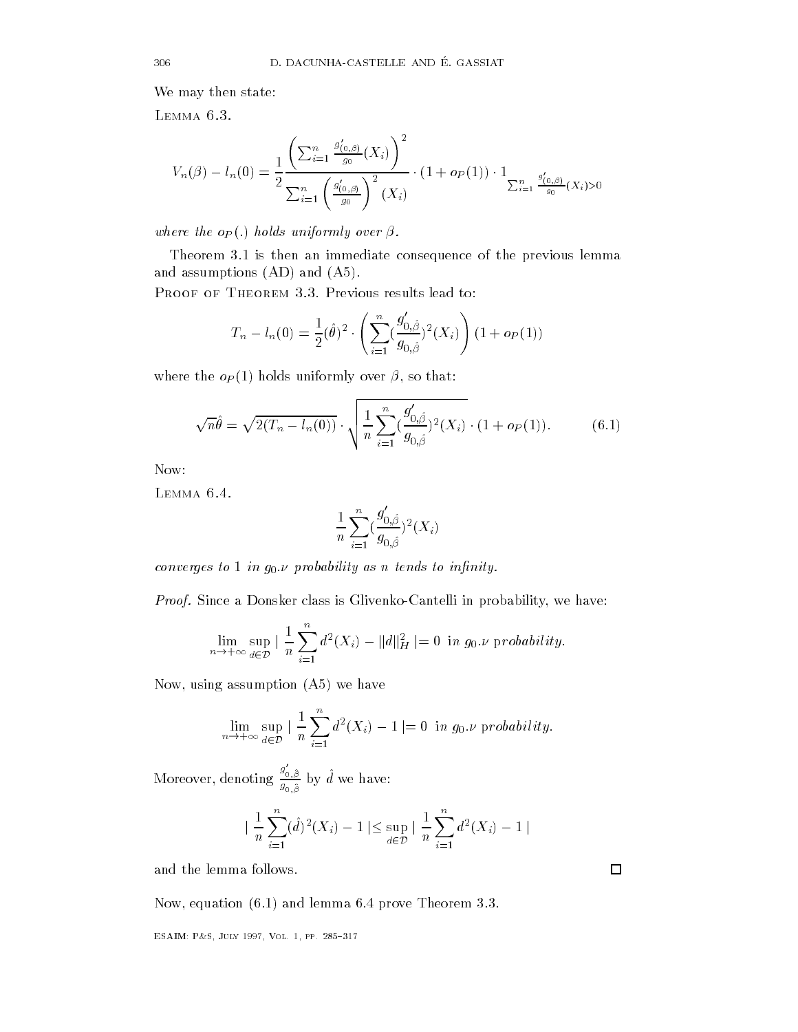We may then state:

LEMMA 6.3.

$$
V_n(\beta) - l_n(0) = \frac{1}{2} \frac{\left(\sum_{i=1}^n \frac{g'_{(0,\beta)}}{g_0}(X_i)\right)^2}{\sum_{i=1}^n \left(\frac{g'_{(0,\beta)}}{g_0}\right)^2(X_i)} \cdot (1 + o_P(1)) \cdot 1_{\sum_{i=1}^n \frac{g'_{(0,\beta)}}{g_0}(X_i) > 0}
$$

where the  $o_P(.)$  holds uniformly over  $\beta$ .

Theorem 3.1 is then an immediate consequence of the previous lemma and assumptions  $(AD)$  and  $(A5)$ .

PROOF OF THEOREM 3.3. Previous results lead to:

$$
T_n - l_n(0) = \frac{1}{2}(\hat{\theta})^2 \cdot \left( \sum_{i=1}^n \left( \frac{g'_{0,\hat{\beta}}}{g_{0,\hat{\beta}}} \right)^2(X_i) \right) (1 + o_P(1))
$$

where the oP holds uniformly over - so that

$$
\sqrt{n}\hat{\theta} = \sqrt{2(T_n - l_n(0))} \cdot \sqrt{\frac{1}{n} \sum_{i=1}^n (\frac{g'_{0,\hat{\beta}}}{g_{0,\hat{\beta}}})^2(X_i)} \cdot (1 + o_P(1)).
$$
 (6.1)

Now:

LEMMA 6.4.

$$
\frac{1}{n}\sum_{i=1}^n(\frac{g_{0,\hat{\beta}}'}{g_{0,\hat{\beta}}})^2(X_i)
$$

converges to 1 in  $g_0 \nu$  probability as n tends to infinity.

*Proof.* Since a Donsker class is Gavefiko-Canten in probability, we have:  

$$
\lim_{n \to +\infty} \sup_{d \in \mathcal{D}} |\frac{1}{n} \sum_{i=1}^{n} d^2(X_i) - ||d||_H^2 = 0 \text{ in } g_0 \text{ is probability.}
$$

now-man and a we have a structure and a structure and a structure and a structure and a structure and and a st

$$
\lim_{n \to +\infty} \sup_{d \in \mathcal{D}} \left| \frac{1}{n} \sum_{i=1}^{n} d^2(X_i) - 1 \right| = 0 \text{ in } g_0.\nu \text{ probability.}
$$

Moreover, denoting  $\frac{g_{0,\hat{\beta}}}{\cdot}$  b  $g_{0,\hat{\beta}}$  by a we have.

$$
\left| \frac{1}{n} \sum_{i=1}^{n} (\hat{d})^2 (X_i) - 1 \right| \leq \sup_{d \in \mathcal{D}} \left| \frac{1}{n} \sum_{i=1}^{n} d^2 (X_i) - 1 \right|
$$

and the lemma follows

Now- equation and lemma prove Theorem

$$
\sqcup
$$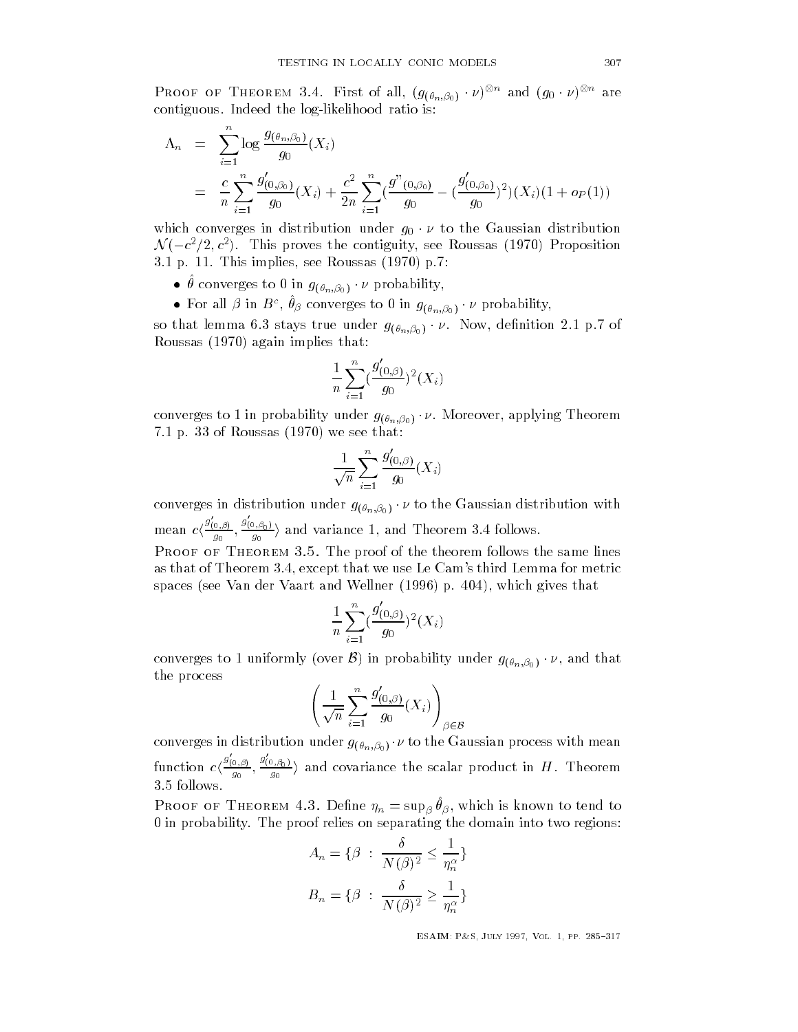Proof of Theorem 3.4. First of all,  $(g_{(\theta_n,\beta_0)}\cdot \nu)^{\otimes n}$  and  $(g_0\cdot \nu)^{\otimes n}$  are contiguous. Indeed the log-likelihood ratio is:

$$
\Lambda_n = \sum_{i=1}^n \log \frac{g_{(\theta_n, \beta_0)}}{g_0}(X_i)
$$
  
= 
$$
\frac{c}{n} \sum_{i=1}^n \frac{g'_{(0, \beta_0)}}{g_0}(X_i) + \frac{c^2}{2n} \sum_{i=1}^n (\frac{g''_{(0, \beta_0)}}{g_0} - (\frac{g'_{(0, \beta_0)}}{g_0})^2)(X_i)(1 + o_P(1))
$$

which converges in distribution under  $g_0 \cdot \nu$  to the Gaussian distribution  $\mathcal{N}(-c^2/2,c^2)$ . This proves the contiguity, see Roussas (1970) Proposition p This is the result of the result of the sees and the sees a set of the sees and the sees all the sees and t

- $\bullet$   $\theta$  converges to 0 in  $g_{(\theta_n,\beta_0)}\cdot \nu$  probability,
- $\bullet$  For all  $\beta$  in  $B^c, \theta_{\beta}$  converges to 0 in  $g_{(\theta_n, \beta_0)} \cdot \nu$  probability,

so that lemma 6.3 stays true under  $g_{(\theta_n,\beta_0)}\cdot \nu$ . Now, definition 2.1 p.7 of Roussas (1970) again implies that:

$$
\frac{1}{n}\sum_{i=1}^n(\frac{g'_{(0,\beta)}}{g_0})^2(X_i)
$$

converges to 1 in probability under  $g_{(\theta_n,\beta_0)}\cdot \nu.$  Moreover, applying Theorem 7.1 p. 33 of Roussas  $(1970)$  we see that:

$$
\frac{1}{\sqrt{n}}\sum_{i=1}^n \frac{g'_{(0,\beta)}}{g_0}(X_i)
$$

converges in distribution under  $g_{(\theta_n, \beta_0)} \cdot \nu$  to the Gaussian distribution with mean  $c\langle \frac{g_{(0,\beta)}}{g} \rangle$ .  $\frac{\sigma_{(\beta)}}{g_0}, \frac{g_{(0,\beta_0)}}{g_0}$  and variance 1, and Theorem 3.4 follows. PROOF OF THEOREM 3.5. The proof of the theorem follows the same lines as that of Theorem - except that we use  $\Gamma$ 

$$
\frac{1}{n}\sum_{i=1}^n(\frac{g'_{(0,\beta)}}{g_0})^2(X_i)
$$

spaces see Value of Value and Wellner and Wellner and Wellner and Wellner and Wellner and Wellner and Wellner

converges to 1 uniformly (over  $\mathcal B)$  in probability under  $g_{(\theta_n,\beta_0)}\cdot \nu,$  and that the process

$$
\left(\frac{1}{\sqrt{n}}\sum_{i=1}^n \frac{g'_{(0,\beta)}}{g_0}(X_i)\right)_{\beta \in \mathcal{B}}
$$

converges in distribution under  $g_{(\theta_n,\beta_0)}\cdot \nu$  to the Gaussian process with mean function  $c\langle \frac{g_{(0,\beta)}}{g_{(0,\beta)}} \rangle$  $\frac{\sigma(\beta)}{g_0}, \frac{g_{(0,\beta_0)}}{g_0}$  and covariance the scalar product in  $H$ . Theorem 3.5 follows.

**I** NOOF OF THEOREM 4.5. Define  $\eta_n = \sup_{\beta} \sigma_{\beta}$ , which is known to tend to 0 in probability. The proof relies on separating the domain into two regions:

$$
A_n = \{ \beta \; : \; \frac{\delta}{N(\beta)^2} \le \frac{1}{\eta_n^{\alpha}} \}
$$

$$
B_n = \{ \beta \; : \; \frac{\delta}{N(\beta)^2} \ge \frac{1}{\eta_n^{\alpha}} \}
$$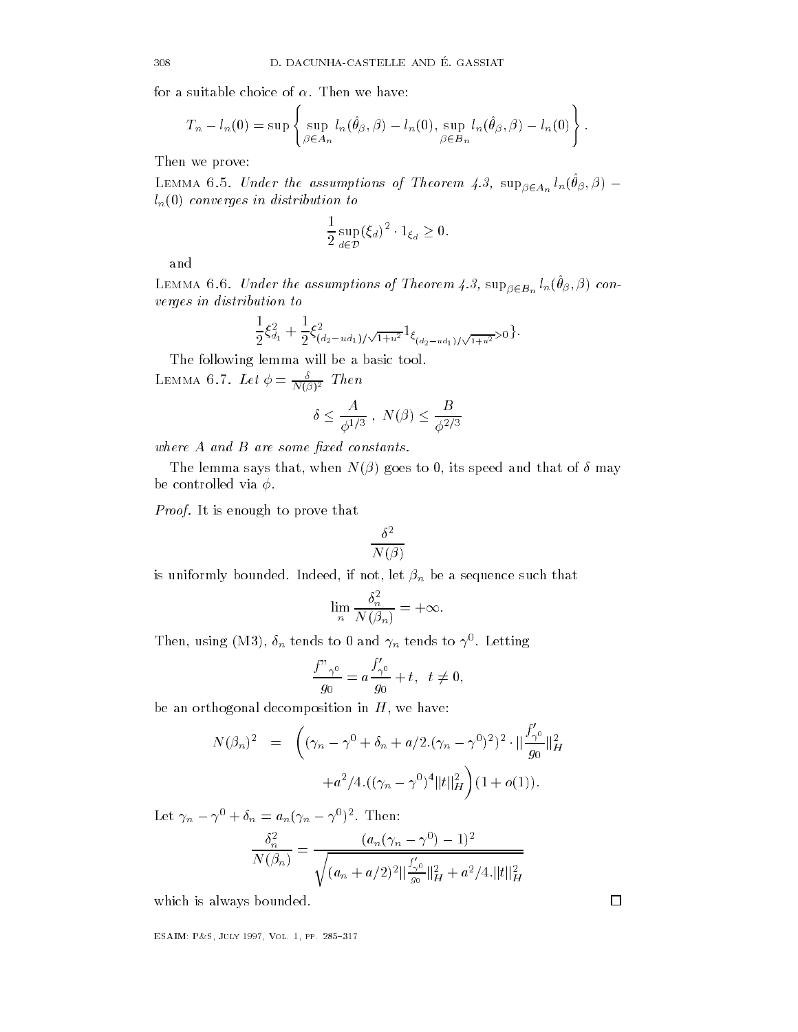for a suitable choice of  $\alpha$ . Then we have:

$$
T_n - l_n(0) = \sup \left\{ \sup_{\beta \in A_n} l_n(\hat{\theta}_{\beta}, \beta) - l_n(0), \sup_{\beta \in B_n} l_n(\hat{\theta}_{\beta}, \beta) - l_n(0) \right\}.
$$

Then we prove

LEMMA 6.5. Under the assumptions of Theorem 4.3,  $\sup_{\beta \in A_n} l_n(\theta_\beta, \beta)$   $l_n(0)$  converges in distribution to

$$
\frac{1}{2}\sup_{d\in\mathcal{D}}(\xi_d)^2\cdot 1_{\xi_d}\geq 0.
$$

and

Lemma 0.0. Onder the assumptions of Theorem 4.9,  $\sup_{\beta \in B_n} \ell_n(\sigma_\beta, \beta)$  converges in distribution to

$$
\frac{1}{2}\xi_{d_1}^2 + \frac{1}{2}\xi_{(d_2-ud_1)/\sqrt{1+u^2}}^2 1_{\xi_{(d_2-ud_1)/\sqrt{1+u^2}}>0}.
$$

The following lemma will be a basic tool LEMMA O.I. Let  $\varphi = \frac{1}{N(\beta)^2}$  Then

$$
\delta \leq \frac{A}{\phi^{1/3}}\;,\;N(\beta) \leq \frac{B}{\phi^{2/3}}
$$

where  $A$  and  $B$  are some fixed constants.

The lemma says that-distribution is speed and that-distribution is speed and that of may be a speed and that of be controlled via  $\phi$ .

*Proof.* It is enough to prove that

$$
\frac{\delta^2}{N(\beta)}
$$

is uniformly bounded indeed-definition  $\mathbf{I}$  and  $\mathbf{I}$  and  $\mathbf{I}$  and  $\mathbf{I}$  and  $\mathbf{I}$  and  $\mathbf{I}$  and  $\mathbf{I}$  and  $\mathbf{I}$  and  $\mathbf{I}$  and  $\mathbf{I}$  and  $\mathbf{I}$  and  $\mathbf{I}$  and  $\mathbf{I}$  and  $\mathbf{I}$  and

$$
\lim_{n} \frac{\delta_n^2}{N(\beta_n)} = +\infty.
$$

Then, using (MS),  $\sigma_n$  tends to  $\sigma$  and  $\gamma_n$  tends to  $\gamma$ . Letting

$$
\frac{f''\gamma^0}{g_0} = a \frac{f'_{\gamma^0}}{g_0} + t, \ \ t \neq 0,
$$

be an orthogonal decomposition in H- and the composition in H- and H- and H- and H- and H- and H- and H- and H

$$
\begin{aligned}\n\text{hogonal decomposition in } H, \text{ we have:} \\
N(\beta_n)^2 &= \left( (\gamma_n - \gamma^0 + \delta_n + a/2.(\gamma_n - \gamma^0)^2)^2 \cdot \|\frac{f'_{\gamma^0}}{g_0}\|_H^2 \right. \\
&\left. + a^2/4.((\gamma_n - \gamma^0)^4 \|t\|_H^2) (1 + o(1)).\n\end{aligned}
$$

Let  $\gamma_n - \gamma^0 + \delta_n = a_n(\gamma_n - \gamma^0)^2$ . Then:

$$
\frac{\delta_n^2}{N(\beta_n)} = \frac{(a_n(\gamma_n - \gamma^0) - 1)^2}{\sqrt{(a_n + a/2)^2 ||\frac{f'_{\gamma^0}}{g_0}||_H^2 + a^2/4.||t||_H^2}}
$$

which is always bounded

———————————————————————————————

 $\Box$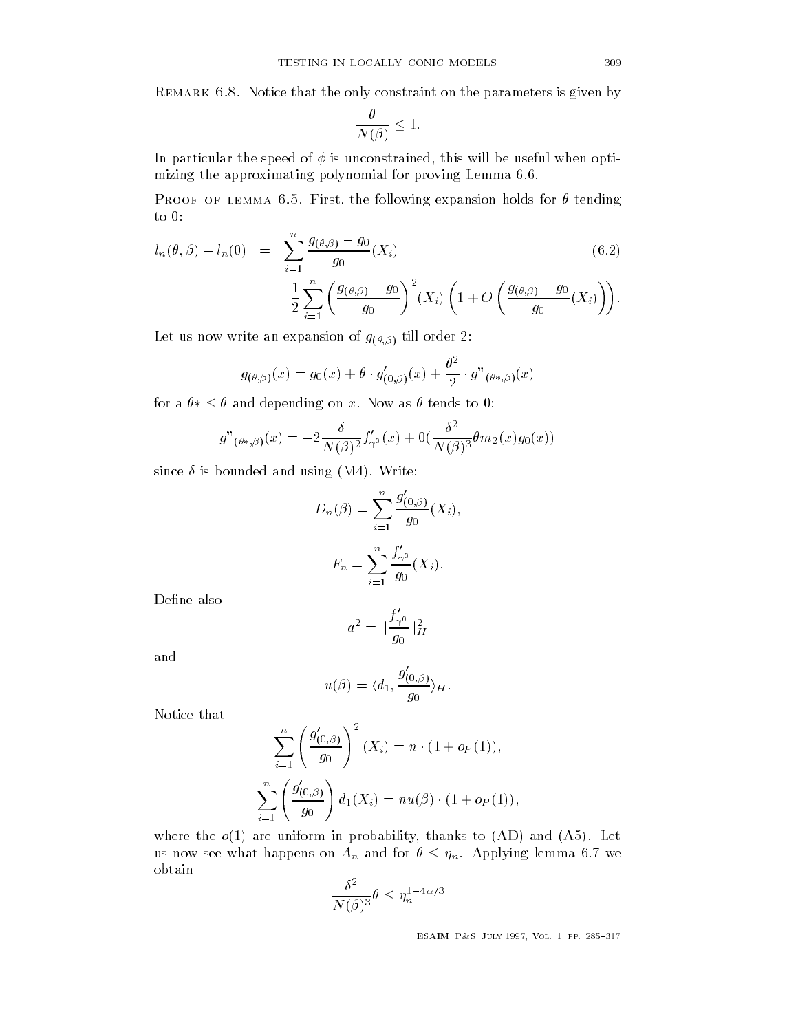Remark Notice that the only constraint on the parameters is given by

$$
\frac{\theta}{N(\beta)} \le 1.
$$

In particular the speed of is unconstrained- this will be useful when opti mizing the approximating polynomial for proving Lemma

 $\mathbf{F}$  is the following expansion holds for  $\mathbf{F}$  the following expansion holds for  $\mathbf{F}$ to 0:

$$
l_n(\theta, \beta) - l_n(0) = \sum_{i=1}^n \frac{g_{(\theta, \beta)} - g_0}{g_0}(X_i)
$$
(6.2)  

$$
-\frac{1}{2} \sum_{i=1}^n \left(\frac{g_{(\theta, \beta)} - g_0}{g_0}\right)^2 (X_i) \left(1 + O\left(\frac{g_{(\theta, \beta)} - g_0}{g_0}(X_i)\right)\right).
$$

$$
-\frac{1}{2}\sum_{i=1}^{n}\left(\frac{g_{(\theta,\beta)}-g_0}{g_0}\right)^2(X_i)\left(1+O\left(\frac{g_{(\theta,\beta)}-g_0}{g_0}(X_i)\right)\right)
$$

 $\mathbf{L}$  till order write an expansion of  $\mathbf{U}$ 

$$
g_{(\theta,\beta)}(x) = g_0(x) + \theta \cdot g'_{(0,\beta)}(x) + \frac{\theta^2}{2} \cdot g''_{(\theta*,\beta)}(x)
$$

for a  $\theta * \leq \theta$  and depending on x. Now as  $\theta$  tends to 0:

$$
g''(\theta*,\beta)(x) = -2\frac{\delta}{N(\beta)^2}f'_{\gamma^0}(x) + 0\left(\frac{\delta^2}{N(\beta)^3}\theta m_2(x)g_0(x)\right)
$$

since  $\delta$  is bounded and using (M4). Write:

$$
D_n(\beta) = \sum_{i=1}^n \frac{g'_{(0,\beta)}}{g_0}(X_i),
$$

$$
F_n = \sum_{i=1}^n \frac{f'_{\gamma^0}}{g_0}(X_i).
$$

Define also

$$
a^2 = \|\frac{f'_{\gamma^0}}{g_0}\|_H^2
$$

and

$$
u(\beta) = \langle d_1, \frac{g'_{(0,\beta)}}{g_0} \rangle_H.
$$

Notice that

$$
\sum_{i=1}^{n} \left( \frac{g'_{(0,\beta)}}{g_0} \right)^2 (X_i) = n \cdot (1 + o_P(1)),
$$
  

$$
\sum_{i=1}^{n} \left( \frac{g'_{(0,\beta)}}{g_0} \right) d_1(X_i) = n u(\beta) \cdot (1 + o_P(1)),
$$

where the observed in probability-dependent of  $\mathcal{A}$  and  $\mathcal{A}$  and  $\mathcal{A}$ us now see what happens on  $A_n$  and for  $\theta \leq \eta_n$ . Applying lemma 6.7 we obtain

$$
\frac{\delta^2}{N(\beta)^3} \theta \le \eta_n^{1-4\alpha/3}
$$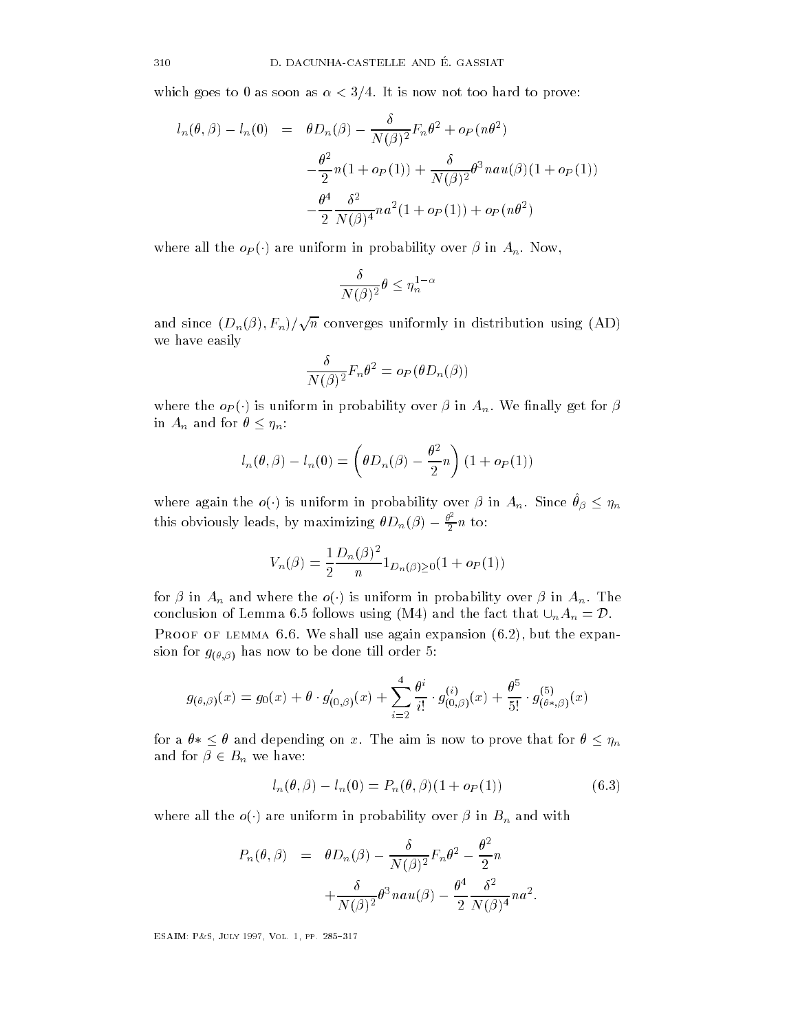which goes to 0 as soon as  $\alpha < 3/4$ . It is now not too hard to prove:

$$
l_n(\theta, \beta) - l_n(0) = \theta D_n(\beta) - \frac{\delta}{N(\beta)^2} F_n \theta^2 + o_P(n\theta^2)
$$
  

$$
- \frac{\theta^2}{2} n(1 + o_P(1)) + \frac{\delta}{N(\beta)^2} \theta^3 n a u(\beta) (1 + o_P(1))
$$
  

$$
- \frac{\theta^4}{2} \frac{\delta^2}{N(\beta)^4} n a^2 (1 + o_P(1)) + o_P(n\theta^2)
$$

where all the  $o_P(\cdot)$  are uniform in probability over  $\beta$  in  $A_n$ . Now,

$$
\frac{\delta}{N(\beta)^2} \theta \le \eta_n^{1-\alpha}
$$

and since  $(D_n(\beta), F_n)/\sqrt{n}$  converges uniformly in distribution using  ${\rm (AD)}$ we have easily

$$
\frac{\delta}{N(\beta)^2}F_n\theta^2 = o_P(\theta D_n(\beta))
$$

where the  $o_P(\cdot)$  is uniform in probability over  $\beta$  in  $A_n$ . We finally get for  $\beta$ in  $A_n$  and for  $\theta \leq \eta_n$ :

$$
l_n(\theta, \beta) - l_n(0) = \left(\theta D_n(\beta) - \frac{\theta^2}{2}n\right) \left(1 + o_P(1)\right)
$$

where again the  $o(\cdot)$  is uniform in probability over  $\beta$  in  $A_n.$  Since  $\theta_{\beta} \leq \eta_n$ this obviously leads, by maximizing  $\theta D_n(\beta) - \frac{\theta^2}{2}n$  to:

$$
V_n(\beta) = \frac{1}{2} \frac{D_n(\beta)^2}{n} 1_{D_n(\beta) \ge 0} (1 + o_P(1))
$$

for  $\beta$  in  $A_n$  and where the  $o(\cdot)$  is uniform in probability over  $\beta$  in  $A_n.$  The conclusion of Lemma 6.5 follows using (M4) and the fact that  $\cup_n A_n = \mathcal{D}$ . Proof of lemma We shall use again expansion - but the expan  $J(v, \nu)$  and the domestic domestic order till order till order till order till order till order till order till order till order till order till order till order till order till order till order till order till order till

$$
g_{(\theta,\beta)}(x) = g_0(x) + \theta \cdot g'_{(0,\beta)}(x) + \sum_{i=2}^4 \frac{\theta^i}{i!} \cdot g^{(i)}_{(0,\beta)}(x) + \frac{\theta^5}{5!} \cdot g^{(5)}_{(\theta*,\beta)}(x)
$$
  
for a  $\theta * \le \theta$  and depending on x. The aim is now to prove that for  $\theta \le \eta_n$ 

and for  $\beta \in B_n$  we have:

$$
l_n(\theta, \beta) - l_n(0) = P_n(\theta, \beta)(1 + o_P(1))
$$
\n(6.3)

where all the  $o(\cdot)$  are uniform in probability over  $\beta$  in  $B_n$  and with

$$
P_n(\theta, \beta) = \theta D_n(\beta) - \frac{\delta}{N(\beta)^2} F_n \theta^2 - \frac{\theta^2}{2} n
$$

$$
+ \frac{\delta}{N(\beta)^2} \theta^3 n a u(\beta) - \frac{\theta^4}{2} \frac{\delta^2}{N(\beta)^4} n a^2.
$$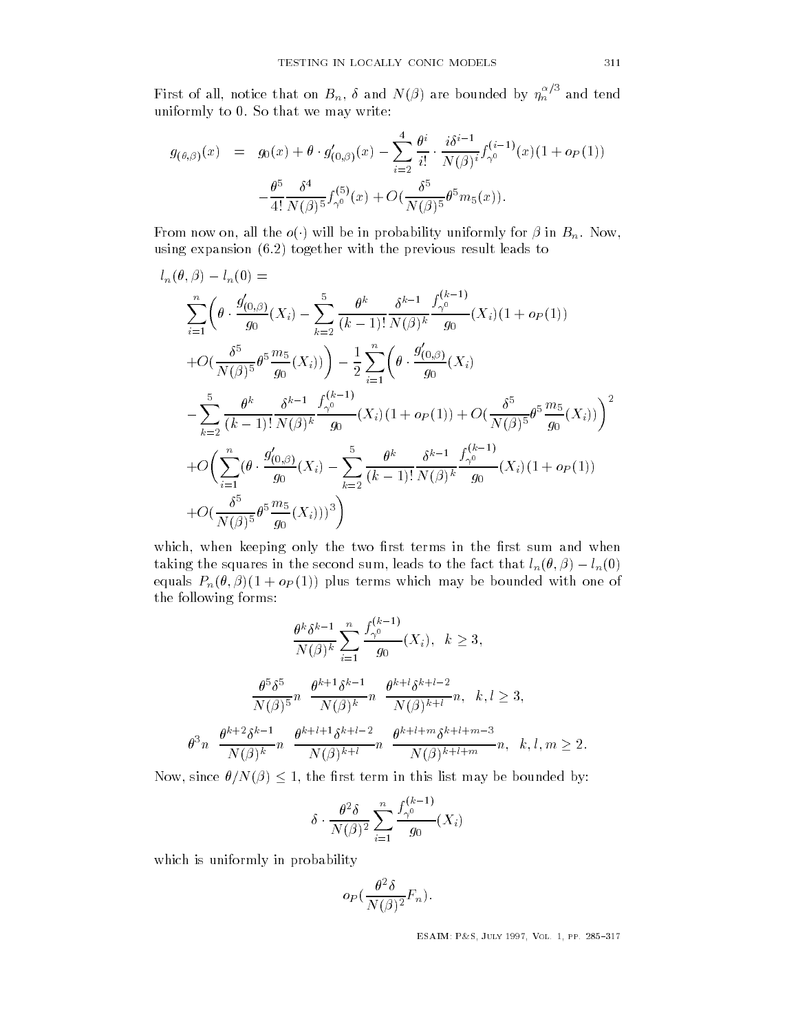First of all, notice that on  $B_n, \ \delta$  and IV( $\beta$ ) are bounded by  $\eta_n{}'$  and tend uniformly to 0. So that we may write:

$$
g_{(\theta,\beta)}(x) = g_0(x) + \theta \cdot g'_{(0,\beta)}(x) - \sum_{i=2}^4 \frac{\theta^i}{i!} \cdot \frac{i\delta^{i-1}}{N(\beta)^i} f_{\gamma^0}^{(i-1)}(x) (1 + o_P(1)) - \frac{\theta^5}{4!} \frac{\delta^4}{N(\beta)^5} f_{\gamma^0}^{(5)}(x) + O(\frac{\delta^5}{N(\beta)^5} \theta^5 m_5(x)).
$$

From now on, all the  $o(\cdot)$  will be in probability uniformly for  $\beta$  in  $B_n$ . Now, using expansion  $(6.2)$  together with the previous result leads to

$$
l_n(\theta, \beta) - l_n(0) =
$$
  
\n
$$
\sum_{i=1}^n \left( \theta \cdot \frac{g'_{(0,\beta)}}{g_0}(X_i) - \sum_{k=2}^5 \frac{\theta^k}{(k-1)!} \frac{\delta^{k-1}}{N(\beta)^k} \frac{f_{\gamma^0}^{(k-1)}}{g_0}(X_i)(1 + o_P(1)) \right)
$$
  
\n
$$
+ O\left(\frac{\delta^5}{N(\beta)^5} \theta^5 \frac{m_5}{g_0}(X_i)\right) - \frac{1}{2} \sum_{i=1}^n \left( \theta \cdot \frac{g'_{(0,\beta)}}{g_0}(X_i) - \sum_{k=2}^5 \frac{\theta^k}{(k-1)!} \frac{\delta^{k-1}}{N(\beta)^k} \frac{f_{\gamma^0}^{(k-1)}}{g_0}(X_i)(1 + o_P(1)) + O\left(\frac{\delta^5}{N(\beta)^5} \theta^5 \frac{m_5}{g_0}(X_i)\right) \right)^2
$$
  
\n
$$
+ O\left(\sum_{i=1}^n (\theta \cdot \frac{g'_{(0,\beta)}}{g_0}(X_i) - \sum_{k=2}^5 \frac{\theta^k}{(k-1)!} \frac{\delta^{k-1}}{N(\beta)^k} \frac{f_{\gamma^0}^{(k-1)}}{g_0}(X_i)(1 + o_P(1)) \right)
$$
  
\n
$$
+ O\left(\frac{\delta^5}{N(\beta)^5} \theta^5 \frac{m_5}{g_0}(X_i)\right)^3
$$

which-two restrictions in the two restrictions in the rst sum and when the rst sum and when the rst sum and when taking the squares in the second sum, leads to the fact that  $l_n(\theta, \beta) - l_n(0)$ equals  $P_n(\theta, \beta)(1 + o_P(1))$  plus terms which may be bounded with one of the following forms

$$
\frac{\theta^k \delta^{k-1}}{N(\beta)^k} \sum_{i=1}^n \frac{f_{\gamma^0}^{(k-1)}}{g_0}(X_i), \quad k \ge 3,
$$
  

$$
\frac{\theta^5 \delta^5}{N(\beta)^5} n \frac{\theta^{k+1} \delta^{k-1}}{N(\beta)^k} n \frac{\theta^{k+l} \delta^{k+l-2}}{N(\beta)^{k+l}} n, \quad k, l \ge 3,
$$
  

$$
\theta^3 n \frac{\theta^{k+2} \delta^{k-1}}{N(\beta)^k} n \frac{\theta^{k+l+1} \delta^{k+l-2}}{N(\beta)^{k+l}} n \frac{\theta^{k+l+m} \delta^{k+l+m-3}}{N(\beta)^{k+l+m}} n, \quad k, l, m \ge 2.
$$

Now, since  $\theta/N(\beta) \leq 1$ , the first term in this list may be bounded by:

$$
\delta \cdot \frac{\theta^2 \delta}{N(\beta)^2} \sum_{i=1}^n \frac{f_{\gamma^0}^{(k-1)}}{g_0}(X_i)
$$

which is uniformly in probability

$$
o_P(\frac{\theta^2\delta}{N(\beta)^2}F_n)\,.
$$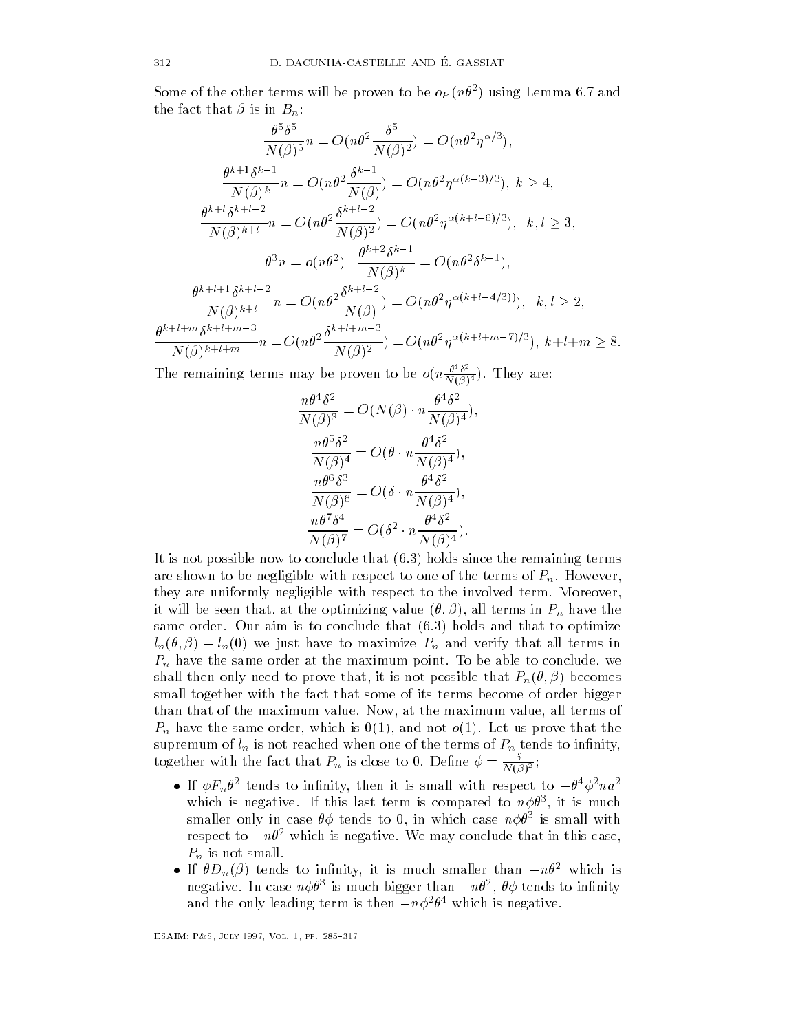Some of the other terms will be proven to be  $op(n\sigma)$  asing Lemma 0.7 and the fact that  $\beta$  is in  $B_n$ :

$$
\frac{\theta^{5}\delta^{5}}{N(\beta)^{5}}n = O(n\theta^{2}\frac{\delta^{5}}{N(\beta)^{2}}) = O(n\theta^{2}\eta^{\alpha/3}),
$$
\n
$$
\frac{\theta^{k+1}\delta^{k-1}}{N(\beta)^{k}}n = O(n\theta^{2}\frac{\delta^{k-1}}{N(\beta)}) = O(n\theta^{2}\eta^{\alpha(k-3)/3}), k \ge 4,
$$
\n
$$
\frac{\theta^{k+1}\delta^{k+1-2}}{N(\beta)^{k+1}}n = O(n\theta^{2}\frac{\delta^{k+1-2}}{N(\beta)^{2}}) = O(n\theta^{2}\eta^{\alpha(k+1-6)/3}), k, l \ge 3,
$$
\n
$$
\theta^{3}n = o(n\theta^{2})\frac{\theta^{k+2}\delta^{k-1}}{N(\beta)^{k}} = O(n\theta^{2}\delta^{k-1}),
$$
\n
$$
\frac{\theta^{k+l+1}\delta^{k+l-2}}{N(\beta)^{k+l}}n = O(n\theta^{2}\frac{\delta^{k+l-2}}{N(\beta)}) = O(n\theta^{2}\eta^{\alpha(k+l-4/3)})), k, l \ge 2,
$$
\n
$$
\frac{\theta^{k+l+m}\delta^{k+l+m-3}}{N(\beta)^{k+l+m}}n = O(n\theta^{2}\frac{\delta^{k+l+m-3}}{N(\beta)^{2}}) = O(n\theta^{2}\eta^{\alpha(k+l+m-7)/3}), k+l+m \ge 8.
$$

The remaining terms may be proven to be  $o(n \frac{v}{N(\beta)^4})$ . They are:

$$
\frac{n\theta^4\delta^2}{N(\beta)^3} = O(N(\beta) \cdot n\frac{\theta^4\delta^2}{N(\beta)^4}),
$$

$$
\frac{n\theta^5\delta^2}{N(\beta)^4} = O(\theta \cdot n\frac{\theta^4\delta^2}{N(\beta)^4}),
$$

$$
\frac{n\theta^6\delta^3}{N(\beta)^6} = O(\delta \cdot n\frac{\theta^4\delta^2}{N(\beta)^4}),
$$

$$
\frac{n\theta^7\delta^4}{N(\beta)^7} = O(\delta^2 \cdot n\frac{\theta^4\delta^2}{N(\beta)^4}).
$$

It is not possible now to conclude that  $(6.3)$  holds since the remaining terms are shown to be negligible with respect to one of the terms of  $P_n$ . However, they are uniformly negligible with respect to the involved term. Moreover, it will be seen that the optimizing value of  $\mathcal{N}$  and  $\mathcal{N}$  in Pn have the optimizing value of  $\mathcal{N}$ same order. Our aim is to conclude that  $(6.3)$  holds and that to optimize  $l_n(\theta, \beta) - l_n(0)$  we just have to maximize  $P_n$  and verify that all terms in  $\mathbf{v}$ show the possible that  $\mathbf{r}$  is not possible that  $\mathbf{r}$  is not possible that  $\mathbf{r}$  is not possible that  $\mathbf{r}$ small together with the fact that some of its terms become of order bigger than that of the maximum value Now- at the maximum value- all terms of  $\mathcal{P}$  have the same order-that the same order-the same order-that the same order-that the same of  $\mathcal{P}$ supremum of  $l_n$  is not reached when one of the terms of  $P_n$  tends to infinity, together with the fact that  $P_n$  is close to 0. Define  $\varphi = \frac{1}{N(\beta)^2}$ ;

- If  $\phi F_n \theta^2$  tends to infinity, then it is small with respect to  $-\theta^4 \phi^2 n a^2$ which is negative. If this last term is compared to  $n\varphi\sigma$  , it is much smaller only in case  $\sigma\varphi$  tends to  $\sigma$ , in which case  $n\varphi\sigma^{\bot}$  is small with respect to  $-n\theta^2$  which is negative. We may conclude that in this case,  $P_n$  is not small.
- If  $\theta D_n(\beta)$  tends to infinity, it is much smaller than  $-n\theta^2$  which is negative. In case  $n\phi\theta^3$  is much bigger than  $-n\theta^2$ ,  $\theta\phi$  tends to infinity and the only leading term is then  $-n\phi^2\theta^4$  which is negative.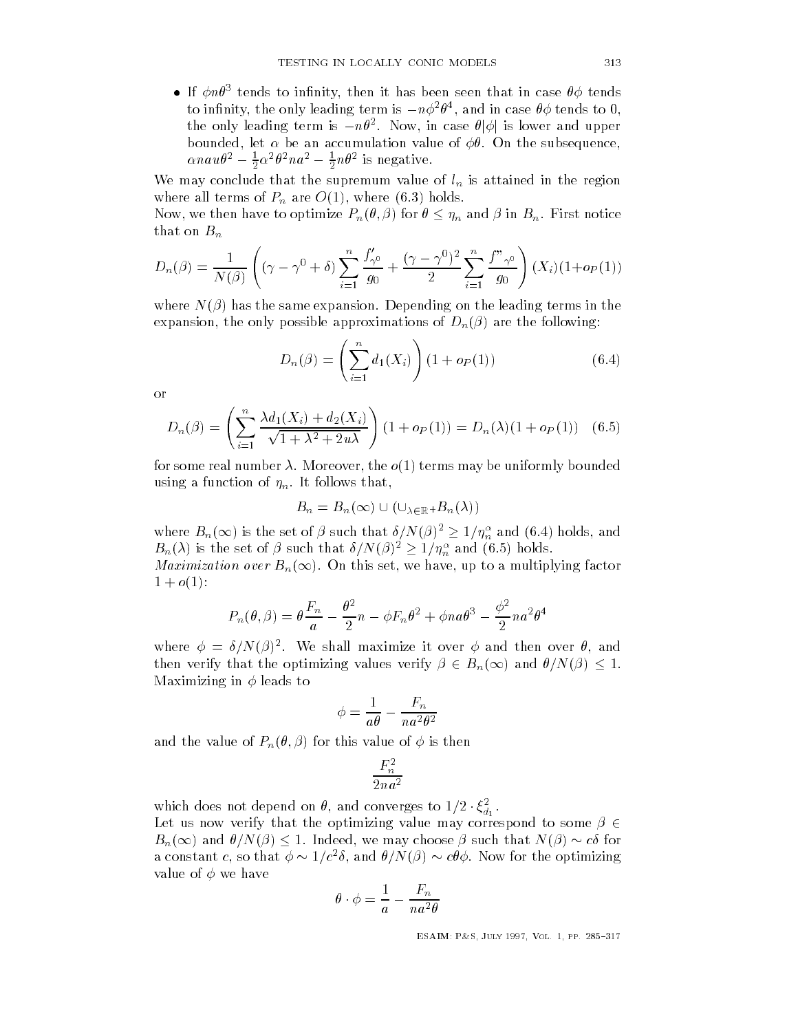• If  $\phi n \theta^3$  tends to infinity, then it has been seen that in case  $\theta \phi$  tends to infinity, the only leading term is  $-n\phi^2\theta^4$ , and in case  $\theta\phi$  tends to 0, the only leading term is  $-n\theta^2$ . Now, in case  $\theta|\phi|$  is lower and upper bounded-bounded-bounded-bounded-bounded-bounded-bounded-bounded-bounded-bounded-bounded-bounded-bounded-bounde  $\alpha nau\theta^2 - \frac{1}{2}\alpha^2\theta^2 na^2 - \frac{1}{2}n\theta^2$  is negative.

We may conclude that the supremum value of  $l_n$  is attained in the region where  $\mathcal{N}$  are  $\mathcal{N}$  are  $\mathcal{N}$  are O  $\mathcal{N}$  are O  $\mathcal{N}$ 

Now, we then have to optimize  $P_n(\theta, \beta)$  for  $\theta \leq \eta_n$  and  $\beta$  in  $B_n$ . First notice that on  $B_n$ 

$$
D_n(\beta) = \frac{1}{N(\beta)} \left( (\gamma - \gamma^0 + \delta) \sum_{i=1}^n \frac{f'_{\gamma^0}}{g_0} + \frac{(\gamma - \gamma^0)^2}{2} \sum_{i=1}^n \frac{f''_{\gamma^0}}{g_0} \right) (X_i) (1 + o_P(1))
$$

where  $N(\beta)$  has the same expansion. Depending on the leading terms in the expansion-both approximation-both approximation-both  $\mathbb{R}^n$  and  $\mathbb{R}^n$  are the following  $\mathbb{R}^n$ 

$$
D_n(\beta) = \left(\sum_{i=1}^n d_1(X_i)\right) (1 + o_P(1))
$$
\n(6.4)

or

$$
D_n(\beta) = \left(\sum_{i=1}^n \frac{\lambda d_1(X_i) + d_2(X_i)}{\sqrt{1 + \lambda^2 + 2u\lambda}}\right) (1 + o_P(1)) = D_n(\lambda) (1 + o_P(1)) \quad (6.5)
$$

for some real number Moreover- the o terms may be uniformly bounded using a function of  $\eta_n$ . It follows that,

$$
B_n = B_n(\infty) \cup (\cup_{\lambda \in \mathbb{R}^+} B_n(\lambda))
$$

where  $B_n(\infty)$  is the set of  $\beta$  such that  $\delta/N(\beta)^2\geq 1/\eta_n^\alpha$  and  $(6.4)$  holds, and  ${B}_n(\lambda)$  is the set of  $\beta$  such that  ${\delta}/{N(\beta)^2}\ge 1/\eta_n^\alpha$  and  $(6.5)$  holds.

*Maximization over*  $B_n(\infty)$ . On this set, we have, up to a multiplying factor  $1+o(1)$ :

$$
P_n(\theta, \beta) = \theta \frac{F_n}{a} - \frac{\theta^2}{2}n - \phi F_n \theta^2 + \phi n a \theta^3 - \frac{\phi^2}{2} n a^2 \theta^4
$$

where  $\varphi = \vartheta/N(\varphi)$  . We shall maximize it over  $\varphi$  and then over  $\vartheta$ , and then verify that the optimizing values verify  $\beta \in B_n(\infty)$  and  $\theta/N(\beta) \leq 1$ . Maximizing in  $\phi$  leads to

$$
\phi = \frac{1}{a\theta} - \frac{F_n}{na^2\theta^2}
$$

and the value of  $P_n(\theta, \beta)$  for this value of  $\phi$  is then

$$
\frac{F_n^2}{2na^2}
$$

which does not depend on  $\theta$ , and converges to  $1/2 \cdot \xi_{d_1}^2$ .<br>Let us now verify that the optimizing value may correspond to some  $\beta \in$  $B_n(\infty)$  and  $\theta/N(\beta) \leq 1$ . Indeed, we may choose  $\beta$  such that  $N(\beta) \sim c\delta$  for a constant c, so that  $\phi \sim 1/c^2 \delta$ , and  $\theta/N(\beta) \sim c\theta \phi$ . Now for the optimizing value of  $\phi$  we have

$$
\theta \cdot \phi = \frac{1}{a} - \frac{F_n}{na^2 \theta}
$$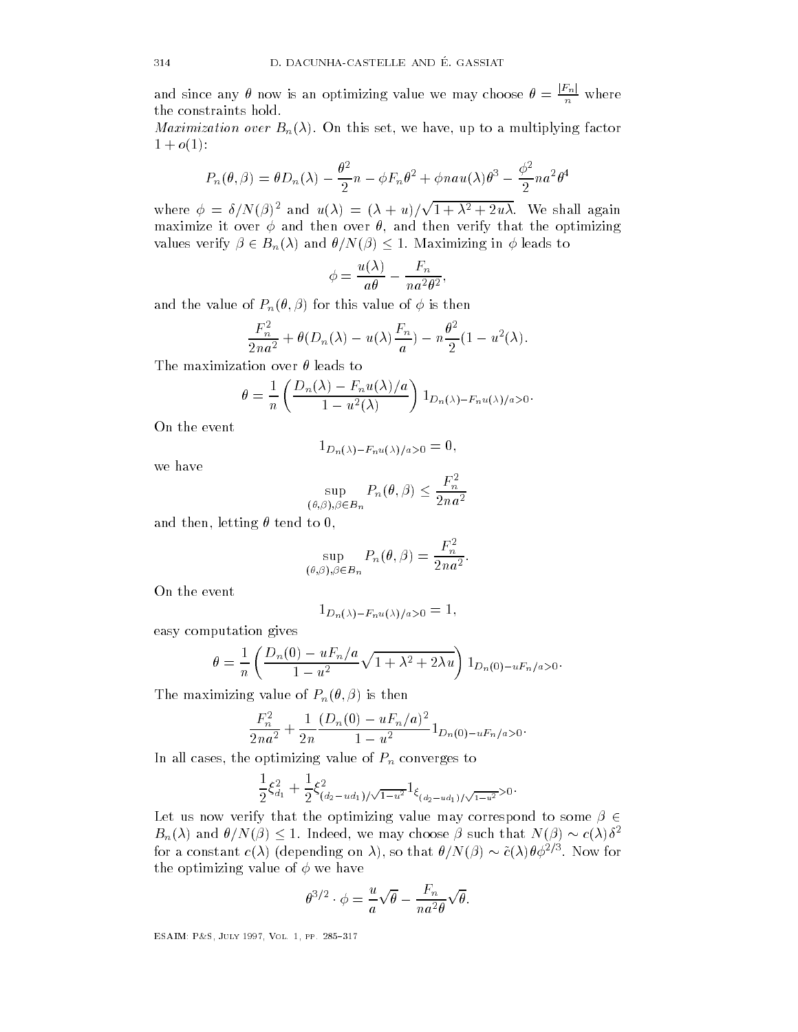and since any  $\theta$  now is an optimizing value we may choose  $\theta = \frac{E+R}{n}$  where the constraints hold

, we have a multiplier bound factor  $\mathbf{u} \cdot \mathbf{v} = \mathbf{u} \cdot \mathbf{v}$  $1+o(1)$ :

$$
P_n(\theta, \beta) = \theta D_n(\lambda) - \frac{\theta^2}{2}n - \phi F_n \theta^2 + \phi n a u(\lambda) \theta^3 - \frac{\phi^2}{2} n a^2 \theta^4
$$

where  $\phi = \delta/N(\beta)^2$  and  $u(\lambda) = (\lambda + u)/\sqrt{1 + \lambda^2 + 2u\lambda}$ . We shall again maximize it over the over the over the over the over the over the over the over the optimizing that the optimizing values verify  $\beta \in B_n(\lambda)$  and  $\theta/N(\beta) \leq 1$ . Maximizing in  $\phi$  leads to

$$
\phi = \frac{u(\lambda)}{a\theta} - \frac{F_n}{na^2\theta^2},
$$

and the value of  $P_n(\theta, \beta)$  for this value of  $\phi$  is then

$$
\frac{F_n^2}{2na^2} + \theta(D_n(\lambda) - u(\lambda)\frac{F_n}{a}) - n\frac{\theta^2}{2}(1 - u^2(\lambda)).
$$

The maximization over  $\theta$  leads to

$$
\theta = \frac{1}{n} \left( \frac{D_n(\lambda) - F_n u(\lambda)/a}{1 - u^2(\lambda)} \right) 1_{D_n(\lambda) - F_n u(\lambda)/a > 0}.
$$

On the event

$$
1_{D_n(\lambda)-F_n u(\lambda)/a>0}=0,
$$

we have

$$
\sup_{(\theta,\beta),\beta\in B_n} P_n(\theta,\beta) \le \frac{F_n^2}{2na^2}
$$

and then- letting tend to -

$$
\sup_{(\theta,\beta),\beta\in B_n} P_n(\theta,\beta) = \frac{F_n^2}{2na^2}.
$$

On the event

$$
1_{D_n(\lambda)-F_n u(\lambda)/a>0}=1,
$$

easy computation gives

$$
\theta = \frac{1}{n} \left( \frac{D_n(0) - uF_n/a}{1 - u^2} \sqrt{1 + \lambda^2 + 2\lambda u} \right) 1_{D_n(0) - uF_n/a > 0}.
$$

The maximizing value of  $P_n(\theta, \beta)$  is then

$$
\frac{F_n^2}{2na^2} + \frac{1}{2n} \frac{(D_n(0) - uF_n/a)^2}{1 - u^2} 1_{D_n(0) - uF_n/a > 0}.
$$

In all cases- the optimizing value of Pn converges to

$$
\frac{1}{2}\xi_{d_1}^2 + \frac{1}{2}\xi_{(d_2-ud_1)/\sqrt{1-u^2}}^2 1_{\xi_{(d_2-ud_1)/\sqrt{1-u^2}}>0}.
$$

Let us now verify that the optimizing value may correspond to some  $\beta \in$  $B_n(\lambda)$  and  $\theta/N(\beta) \leq 1$ . Indeed, we may choose  $\beta$  such that  $N(\beta) \sim c(\lambda)\delta^2$ for a constant  $c(\lambda)$  (depending on  $\lambda$ ), so that  $\theta/N(\beta) \sim \tilde{c}(\lambda)\theta\phi^{2/3}$ . Now for the optimizing value of  $\phi$  we have

$$
\theta^{3/2} \cdot \phi = \frac{u}{a} \sqrt{\theta} - \frac{F_n}{na^2 \theta} \sqrt{\theta}.
$$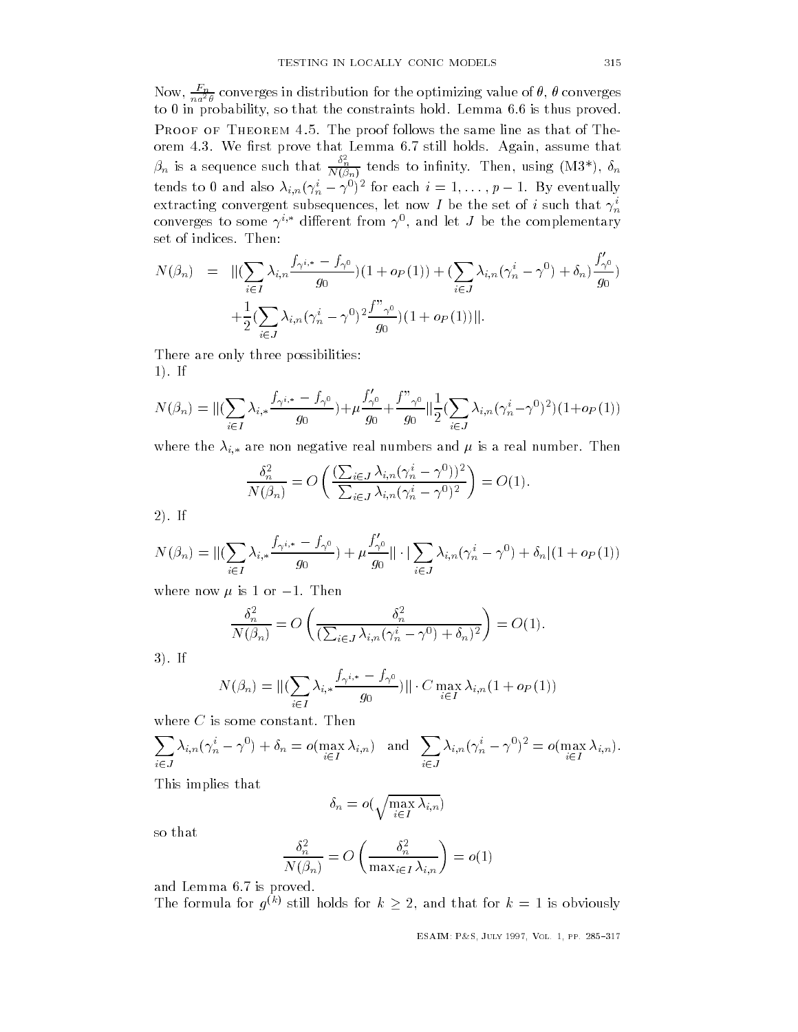Now,  $\frac{a}{na^2\theta}$  converges in distribution for the optimizing value of  $\theta$ ,  $\theta$  converges to in probability- so that the constraints hold Lemma is thus proved PROOF OF THEOREM 4.5. The proof follows the same line as that of The- $\beta_n$  is a sequence such that  $\frac{\delta_n^2}{N(\beta_n)}$  tends to infinity. Then, using  $(M3^*)$ ,  $\delta_n$ tends to 0 and also  $\lambda_{i,n}(\gamma_n^i-\gamma^0)^2$  for each  $i=1,\ldots,p-1.$  By eventually extracting convergent subsequences, let now I be the set of i such that  $\gamma_n$ converges to some  $\gamma$  - dimerent from  $\gamma$  , and let  $J$  be the complementary set of indices. Then:

$$
N(\beta_n) = \|\left(\sum_{i \in I} \lambda_{i,n} \frac{f_{\gamma^{i,*}} - f_{\gamma^0}}{g_0}\right) (1 + o_P(1)) + \left(\sum_{i \in J} \lambda_{i,n} (\gamma_n^i - \gamma^0) + \delta_n\right) \frac{f'_{\gamma^0}}{g_0}\right) + \frac{1}{2} \left(\sum_{i \in J} \lambda_{i,n} (\gamma_n^i - \gamma^0)^2 \frac{f''_{\gamma^0}}{g_0}\right) (1 + o_P(1))\|.
$$

There are only three possibilities  $1$ . If

$$
N(\beta_n) = \| (\sum_{i \in I} \lambda_{i,*} \frac{f_{\gamma^{i,*}} - f_{\gamma^0}}{g_0}) + \mu \frac{f'_{\gamma^0}}{g_0} + \frac{f''_{\gamma^0}}{g_0} \| \frac{1}{2} (\sum_{i \in J} \lambda_{i,n} (\gamma_n^i - \gamma^0)^2) (1 + o_P(1))
$$

where the i-definition  $\omega$  i-definition real numbers and i-definition real numbers and i-definition  $\omega$ 

$$
\frac{\delta_n^2}{N(\beta_n)} = O\left(\frac{\left(\sum_{i \in J} \lambda_{i,n} (\gamma_n^i - \gamma^0)\right)^2}{\sum_{i \in J} \lambda_{i,n} (\gamma_n^i - \gamma^0)^2}\right) = O(1).
$$

 $2)$ . If

$$
N(\beta_n) = \| (\sum_{i \in I} \lambda_{i,*} \frac{f_{\gamma^{i,*}} - f_{\gamma^0}}{g_0}) + \mu \frac{f'_{\gamma^0}}{g_0} \| \cdot \| \sum_{i \in J} \lambda_{i,n} (\gamma_n^i - \gamma^0) + \delta_n \| (1 + o_P(1))
$$

where now  $\mu$  is 1 or  $-1$ . Then

$$
\frac{\delta_n^2}{N(\beta_n)} = O\left(\frac{\delta_n^2}{\left(\sum_{i \in J} \lambda_{i,n} (\gamma_n^i - \gamma^0) + \delta_n\right)^2}\right) = O(1).
$$

 $3).$  If

$$
N(\beta_n) = \|(\sum_{i \in I} \lambda_{i,*} \frac{f_{\gamma^{i,*}} - f_{\gamma^0}}{g_0})\| \cdot C \max_{i \in I} \lambda_{i,n} (1 + o_P(1))
$$

where  $C$  is some constant. Then

<sup>X</sup> ijina kuning kacamatan ing kacamatan ing kacamatan ing kacamatan ing kacamatan ing kacamatan ing kacamatan ing kacamatan ing kacamatan ing kacamatan ing kacamatan ing kacamatan ing kacamatan ing kacamatan ing kacamatan ing  $\lambda_{i,n}(\gamma^i_{n}-\gamma^0)+\delta_n=o(\max_{i\in I}\lambda_{i,n})\ \ \ \text{and}\ \ \sum_{i\in I}\lambda_{i,n}(\gamma^i_{n}-\gamma^0)^2=o(\max_{i\in I}\lambda_{i,n}).$ ijina kungiyar kungiyar kungiyar kungiyar kungiyar kungiyar kungiyar kungiyar kungiyar kungiyar kungiyar kungiyar kungiyar kungiyar kungiyar kungiyar kungiyar kungiyar kungiyar kungiyar kungiyar kungiyar kungiyar kungiyar

This implies that

$$
\delta_n = o(\sqrt{\max_{i \in I} \lambda_{i,n}})
$$

so that

$$
\frac{\delta_n^2}{N(\beta_n)} = O\left(\frac{\delta_n^2}{\max_{i \in I} \lambda_{i,n}}\right) = o(1)
$$

and Lemma 6.7 is proved.

The formula for  $q^{(k)}$  still holds for  $k \geq 2$ , and that for  $k = 1$  is obviously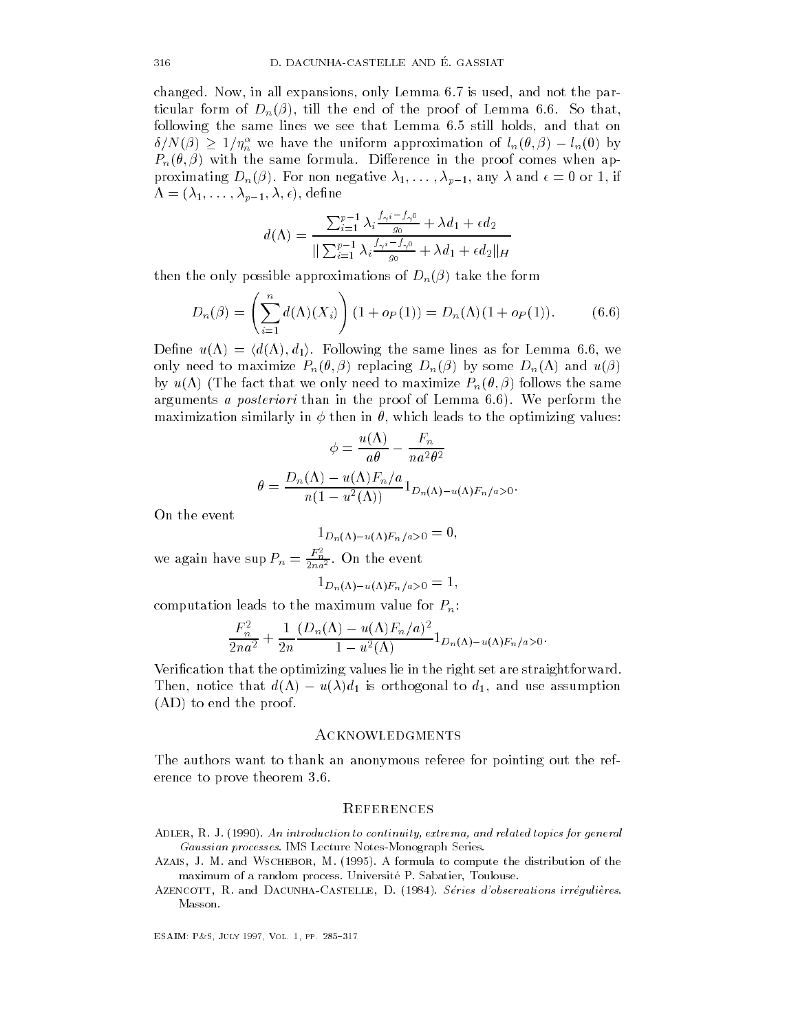$\blacksquare$  in all expansions-definitions-definitions-definitions-definitions-definitions-definitions-definitions-definitions-definitions-definitions-definitions-definitions-definitions-definitions-definitions-definitions-defi ticular form of  $\mathbf{L}$ following the same lines we see that Lemma still holds- and that on  $\delta/N(\beta) \, \geq \, 1/\eta_n^\alpha$  we have the uniform approximation of  $l_n(\theta, \beta) - l_n(0)$  by  $P_n(\theta, \beta)$  with the same formula. Difference in the proof comes when ap- $\mathbf{p}$  if  $\mathbf{p}$  and  $\mathbf{p}$  and  $\mathbf{p}$  and  $\mathbf{p}$  and  $\mathbf{p}$  and  $\mathbf{p}$ produced the set of the set of the set of the set of the set of the set of the set of the set of the set of th

$$
d(\Lambda) = \frac{\sum_{i=1}^{p-1} \lambda_i \frac{f_{\gamma^i} - f_{\gamma^0}}{g_0} + \lambda d_1 + \epsilon d_2}{\|\sum_{i=1}^{p-1} \lambda_i \frac{f_{\gamma^i} - f_{\gamma^0}}{g_0} + \lambda d_1 + \epsilon d_2\|_H}
$$

then the only possible approximations of  $D_n(\beta)$  take the form

$$
D_n(\beta) = \left(\sum_{i=1}^n d(\Lambda)(X_i)\right) (1 + o_P(1)) = D_n(\Lambda)(1 + o_P(1)). \tag{6.6}
$$

Define  $u(\Lambda) = \langle d(\Lambda), d_1 \rangle$ . Following the same lines as for Lemma 6.6, we only need to maximize  $P_n(\theta, \beta)$  replacing  $D_n(\beta)$  by some  $D_n(\Lambda)$  and  $u(\beta)$ by  $u(\Lambda)$  (The fact that we only need to maximize  $P_n(\theta, \beta)$  follows the same arguments *a posteriori* than in the proof of Lemma 6.6). We perform the maximization similarly in then in - which leads to the optimizing values

$$
\phi = \frac{u(\Lambda)}{a\theta} - \frac{F_n}{na^2\theta^2}
$$

$$
\theta = \frac{D_n(\Lambda) - u(\Lambda)F_n/a}{n(1 - u^2(\Lambda))} 1_{D_n(\Lambda) - u(\Lambda)F_n/a > 0}.
$$

On the event

$$
1_{D_n(\Lambda)-u(\Lambda)F_n/a>0}=0,
$$

we again have sup  $P_n = \frac{F_n}{2na^2}$ . On the event  $L_n(1) = u(1) \cdot n / u \times 0$ 

computation leads to the maximum value for  $P_n$ :

$$
\frac{F_n^2}{2na^2} + \frac{1}{2n} \frac{(D_n(\Lambda) - u(\Lambda)F_n/a)^2}{1 - u^2(\Lambda)} 1_{D_n(\Lambda) - u(\Lambda)F_n/a > 0}.
$$

Verification that the optimizing values lie in the right set are straightforward. Then, notice that  $d(\Lambda) - u(\lambda)d_1$  is orthogonal to  $d_1$ , and use assumption  $(AD)$  to end the proof.

#### Acknowledgments

The authors want to thank an anonymous referee for pointing out the ref erence to prove theorem

#### **REFERENCES**

- Adler R- J- An introduction to continuity- extrema- and related topics for general Gaussian processes- IMS Lecture NotesMonograph Series-
- Azais J- M- and Wschebor M- - A formula to compute the distribution of the maximum of a random process- Universite P- Sabatier Toulouse-
- Azencott R- and DacunhaCastelle D- Series dobservations irregulieres-Masson-